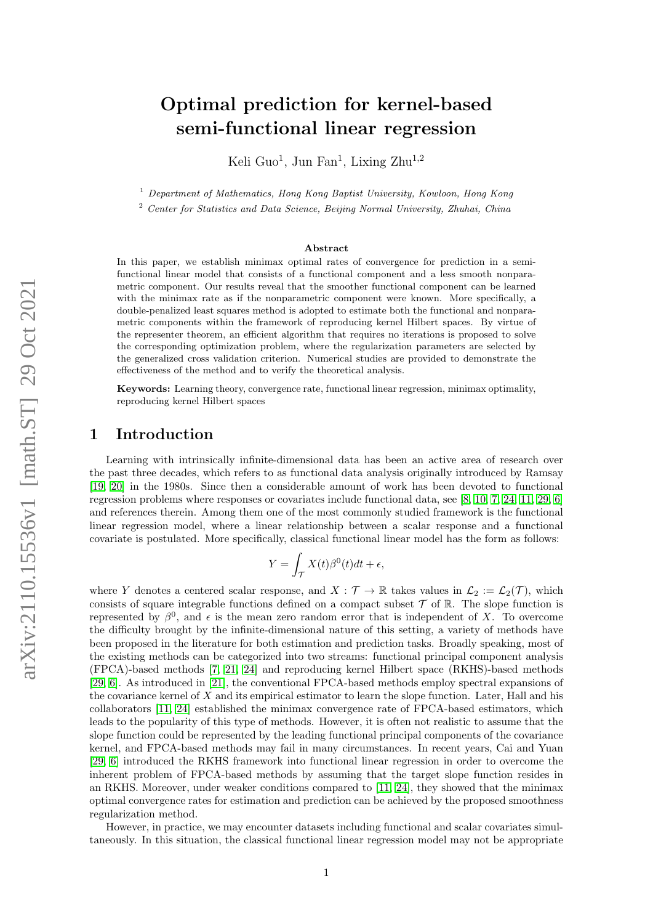# Optimal prediction for kernel-based semi-functional linear regression

Keli Guo<sup>1</sup>, Jun Fan<sup>1</sup>, Lixing Zhu<sup>1,2</sup>

 $1$  Department of Mathematics, Hong Kong Baptist University, Kowloon, Hong Kong

<sup>2</sup> Center for Statistics and Data Science, Beijing Normal University, Zhuhai, China

#### Abstract

In this paper, we establish minimax optimal rates of convergence for prediction in a semifunctional linear model that consists of a functional component and a less smooth nonparametric component. Our results reveal that the smoother functional component can be learned with the minimax rate as if the nonparametric component were known. More specifically, a double-penalized least squares method is adopted to estimate both the functional and nonparametric components within the framework of reproducing kernel Hilbert spaces. By virtue of the representer theorem, an efficient algorithm that requires no iterations is proposed to solve the corresponding optimization problem, where the regularization parameters are selected by the generalized cross validation criterion. Numerical studies are provided to demonstrate the effectiveness of the method and to verify the theoretical analysis.

Keywords: Learning theory, convergence rate, functional linear regression, minimax optimality, reproducing kernel Hilbert spaces

### 1 Introduction

Learning with intrinsically infinite-dimensional data has been an active area of research over the past three decades, which refers to as functional data analysis originally introduced by Ramsay [\[19,](#page-15-0) [20\]](#page-15-1) in the 1980s. Since then a considerable amount of work has been devoted to functional regression problems where responses or covariates include functional data, see [\[8,](#page-15-2) [10,](#page-15-3) [7,](#page-15-4) [24,](#page-16-0) [11,](#page-15-5) [29,](#page-16-1) [6\]](#page-15-6) and references therein. Among them one of the most commonly studied framework is the functional linear regression model, where a linear relationship between a scalar response and a functional covariate is postulated. More specifically, classical functional linear model has the form as follows:

$$
Y = \int_{\mathcal{T}} X(t)\beta^{0}(t)dt + \epsilon,
$$

where Y denotes a centered scalar response, and  $X : \mathcal{T} \to \mathbb{R}$  takes values in  $\mathcal{L}_2 := \mathcal{L}_2(\mathcal{T})$ , which consists of square integrable functions defined on a compact subset  $\mathcal T$  of R. The slope function is represented by  $\beta^0$ , and  $\epsilon$  is the mean zero random error that is independent of X. To overcome the difficulty brought by the infinite-dimensional nature of this setting, a variety of methods have been proposed in the literature for both estimation and prediction tasks. Broadly speaking, most of the existing methods can be categorized into two streams: functional principal component analysis (FPCA)-based methods [\[7,](#page-15-4) [21,](#page-15-7) [24\]](#page-16-0) and reproducing kernel Hilbert space (RKHS)-based methods [\[29,](#page-16-1) [6\]](#page-15-6). As introduced in [\[21\]](#page-15-7), the conventional FPCA-based methods employ spectral expansions of the covariance kernel of X and its empirical estimator to learn the slope function. Later, Hall and his collaborators [\[11,](#page-15-5) [24\]](#page-16-0) established the minimax convergence rate of FPCA-based estimators, which leads to the popularity of this type of methods. However, it is often not realistic to assume that the slope function could be represented by the leading functional principal components of the covariance kernel, and FPCA-based methods may fail in many circumstances. In recent years, Cai and Yuan [\[29,](#page-16-1) [6\]](#page-15-6) introduced the RKHS framework into functional linear regression in order to overcome the inherent problem of FPCA-based methods by assuming that the target slope function resides in an RKHS. Moreover, under weaker conditions compared to [\[11,](#page-15-5) [24\]](#page-16-0), they showed that the minimax optimal convergence rates for estimation and prediction can be achieved by the proposed smoothness regularization method.

However, in practice, we may encounter datasets including functional and scalar covariates simultaneously. In this situation, the classical functional linear regression model may not be appropriate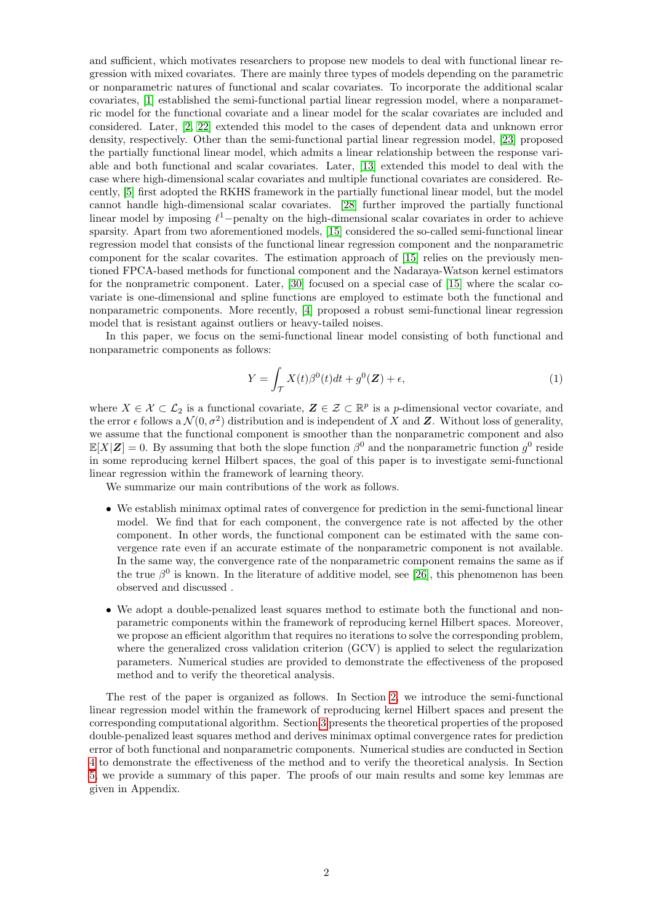and sufficient, which motivates researchers to propose new models to deal with functional linear regression with mixed covariates. There are mainly three types of models depending on the parametric or nonparametric natures of functional and scalar covariates. To incorporate the additional scalar covariates, [\[1\]](#page-15-8) established the semi-functional partial linear regression model, where a nonparametric model for the functional covariate and a linear model for the scalar covariates are included and considered. Later, [\[2,](#page-15-9) [22\]](#page-15-10) extended this model to the cases of dependent data and unknown error density, respectively. Other than the semi-functional partial linear regression model, [\[23\]](#page-15-11) proposed the partially functional linear model, which admits a linear relationship between the response variable and both functional and scalar covariates. Later, [\[13\]](#page-15-12) extended this model to deal with the case where high-dimensional scalar covariates and multiple functional covariates are considered. Recently, [\[5\]](#page-15-13) first adopted the RKHS framework in the partially functional linear model, but the model cannot handle high-dimensional scalar covariates. [\[28\]](#page-16-2) further improved the partially functional linear model by imposing  $\ell^1$ -penalty on the high-dimensional scalar covariates in order to achieve sparsity. Apart from two aforementioned models, [\[15\]](#page-15-14) considered the so-called semi-functional linear regression model that consists of the functional linear regression component and the nonparametric component for the scalar covarites. The estimation approach of [\[15\]](#page-15-14) relies on the previously mentioned FPCA-based methods for functional component and the Nadaraya-Watson kernel estimators for the nonprametric component. Later, [\[30\]](#page-16-3) focused on a special case of [\[15\]](#page-15-14) where the scalar covariate is one-dimensional and spline functions are employed to estimate both the functional and nonparametric components. More recently, [\[4\]](#page-15-15) proposed a robust semi-functional linear regression model that is resistant against outliers or heavy-tailed noises.

In this paper, we focus on the semi-functional linear model consisting of both functional and nonparametric components as follows:

<span id="page-1-0"></span>
$$
Y = \int_{\mathcal{T}} X(t)\beta^{0}(t)dt + g^{0}(\mathbf{Z}) + \epsilon,
$$
\n(1)

where  $X \in \mathcal{X} \subset \mathcal{L}_2$  is a functional covariate,  $\mathbf{Z} \in \mathcal{Z} \subset \mathbb{R}^p$  is a p-dimensional vector covariate, and the error  $\epsilon$  follows a  $\mathcal{N}(0, \sigma^2)$  distribution and is independent of X and Z. Without loss of generality, we assume that the functional component is smoother than the nonparametric component and also  $\mathbb{E}[X|\mathbf{Z}] = 0$ . By assuming that both the slope function  $\beta^0$  and the nonparametric function  $g^0$  reside in some reproducing kernel Hilbert spaces, the goal of this paper is to investigate semi-functional linear regression within the framework of learning theory.

We summarize our main contributions of the work as follows.

- We establish minimax optimal rates of convergence for prediction in the semi-functional linear model. We find that for each component, the convergence rate is not affected by the other component. In other words, the functional component can be estimated with the same convergence rate even if an accurate estimate of the nonparametric component is not available. In the same way, the convergence rate of the nonparametric component remains the same as if the true  $\beta^0$  is known. In the literature of additive model, see [\[26\]](#page-16-4), this phenomenon has been observed and discussed .
- We adopt a double-penalized least squares method to estimate both the functional and nonparametric components within the framework of reproducing kernel Hilbert spaces. Moreover, we propose an efficient algorithm that requires no iterations to solve the corresponding problem, where the generalized cross validation criterion (GCV) is applied to select the regularization parameters. Numerical studies are provided to demonstrate the effectiveness of the proposed method and to verify the theoretical analysis.

The rest of the paper is organized as follows. In Section [2,](#page-2-0) we introduce the semi-functional linear regression model within the framework of reproducing kernel Hilbert spaces and present the corresponding computational algorithm. Section [3](#page-8-0) presents the theoretical properties of the proposed double-penalized least squares method and derives minimax optimal convergence rates for prediction error of both functional and nonparametric components. Numerical studies are conducted in Section [4](#page-9-0) to demonstrate the effectiveness of the method and to verify the theoretical analysis. In Section [5,](#page-14-0) we provide a summary of this paper. The proofs of our main results and some key lemmas are given in Appendix.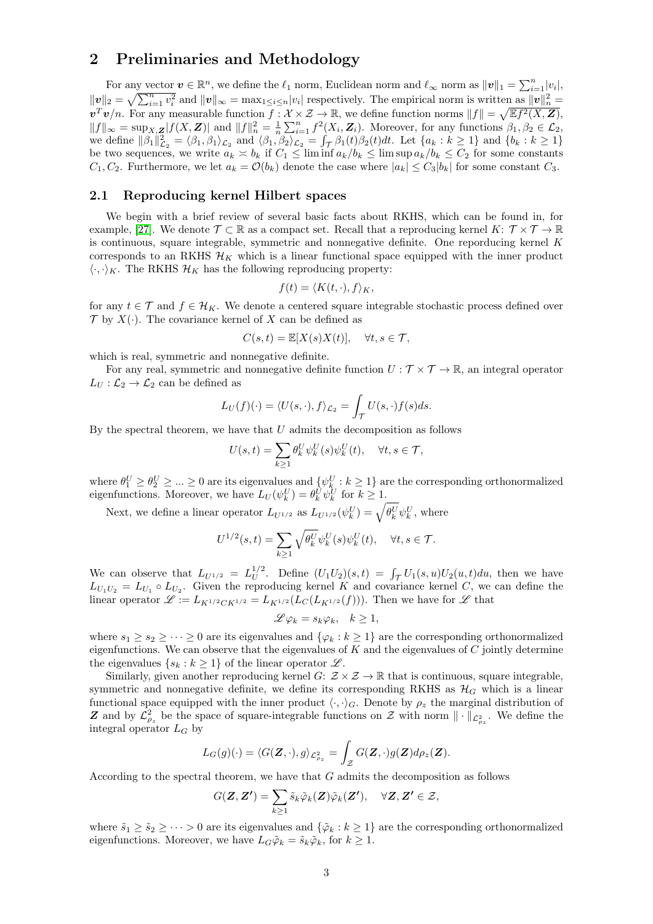### <span id="page-2-0"></span>2 Preliminaries and Methodology

For any vector  $v \in \mathbb{R}^n$ , we define the  $\ell_1$  norm, Euclidean norm and  $\ell_\infty$  norm as  $||v||_1 = \sum_{i=1}^n |v_i|$ ,  $||v||_2 = \sqrt{\sum_{i=1}^n v_i^2}$  and  $||v||_{\infty} = \max_{1 \leq i \leq n} |v_i|$  respectively. The empirical norm is written as  $||v||_n^2 =$  $v^T v/n$ . For any measurable function  $f: \mathcal{X} \times \mathcal{Z} \to \mathbb{R}$ , we define function norms  $||f|| = \sqrt{\mathbb{E}f^2(X, \mathbf{Z})}$ ,  $||f||_{\infty} = \sup_{X,Z} |f(X,Z)|$  and  $||f||_{n}^{2} = \frac{1}{n} \sum_{i=1}^{n} f^{2}(X_{i}, Z_{i})$ . Moreover, for any functions  $\beta_{1}, \beta_{2} \in \mathcal{L}_{2}$ , we define  $\|\beta_1\|_{\mathcal{L}_2}^2 = \langle \beta_1, \beta_1 \rangle_{\mathcal{L}_2}$  and  $\langle \beta_1, \beta_2 \rangle_{\mathcal{L}_2} = \int_{\mathcal{T}} \beta_1(t)\beta_2(t)dt$ . Let  $\{a_k : k \geq 1\}$  and  $\{b_k : k \geq 1\}$ be two sequences, we write  $a_k \n\t\le b_k$  if  $C_1 \le \liminf a_k/b_k \le \limsup a_k/b_k \le C_2$  for some constants  $C_1, C_2$ . Furthermore, we let  $a_k = \mathcal{O}(b_k)$  denote the case where  $|a_k| \leq C_3 |b_k|$  for some constant  $C_3$ .

#### 2.1 Reproducing kernel Hilbert spaces

We begin with a brief review of several basic facts about RKHS, which can be found in, for example, [\[27\]](#page-16-5). We denote  $\mathcal{T} \subset \mathbb{R}$  as a compact set. Recall that a reproducing kernel  $K: \mathcal{T} \times \mathcal{T} \to \mathbb{R}$ is continuous, square integrable, symmetric and nonnegative definite. One reporducing kernel K corresponds to an RKHS  $\mathcal{H}_K$  which is a linear functional space equipped with the inner product  $\langle \cdot, \cdot \rangle_K$ . The RKHS  $\mathcal{H}_K$  has the following reproducing property:

$$
f(t) = \langle K(t, \cdot), f \rangle_K,
$$

for any  $t \in \mathcal{T}$  and  $f \in \mathcal{H}_K$ . We denote a centered square integrable stochastic process defined over  $\mathcal T$  by  $X(\cdot)$ . The covariance kernel of X can be defined as

$$
C(s,t) = \mathbb{E}[X(s)X(t)], \quad \forall t, s \in \mathcal{T},
$$

which is real, symmetric and nonnegative definite.

For any real, symmetric and nonnegative definite function  $U : \mathcal{T} \times \mathcal{T} \to \mathbb{R}$ , an integral operator  $L_U: \mathcal{L}_2 \to \mathcal{L}_2$  can be defined as

$$
L_U(f)(\cdot) = \langle U(s, \cdot), f \rangle_{\mathcal{L}_2} = \int_{\mathcal{T}} U(s, \cdot) f(s) ds.
$$

By the spectral theorem, we have that  $U$  admits the decomposition as follows

$$
U(s,t) = \sum_{k\geq 1} \theta_k^U \psi_k^U(s) \psi_k^U(t), \quad \forall t, s \in \mathcal{T},
$$

where  $\theta_1^U \geq \theta_2^U \geq \ldots \geq 0$  are its eigenvalues and  $\{\psi_k^U : k \geq 1\}$  are the corresponding orthonormalized eigenfunctions. Moreover, we have  $L_U(\psi_k^U) = \theta_k^U \psi_k^U$  for  $k \geq 1$ .

Next, we define a linear operator  $L_{U^{1/2}}$  as  $L_{U^{1/2}}(\psi_k^U) = \sqrt{\theta_k^U} \psi_k^U$ , where

$$
U^{1/2}(s,t) = \sum_{k \ge 1} \sqrt{\theta_k^U} \psi_k^U(s) \psi_k^U(t), \quad \forall t, s \in \mathcal{T}.
$$

We can observe that  $L_{U^{1/2}} = L_U^{1/2}$  $U_U^{1/2}$ . Define  $(U_1U_2)(s,t) = \int_{\mathcal{T}} U_1(s,u)U_2(u,t)du$ , then we have  $L_{U_1U_2} = L_{U_1} \circ L_{U_2}$ . Given the reproducing kernel K and covariance kernel C, we can define the linear operator  $\mathscr{L} := L_{K^{1/2}CK^{1/2}} = L_{K^{1/2}}(L_C(L_{K^{1/2}}(f)))$ . Then we have for  $\mathscr{L}$  that

$$
\mathscr{L}\varphi_k = s_k \varphi_k, \quad k \ge 1,
$$

where  $s_1 \geq s_2 \geq \cdots \geq 0$  are its eigenvalues and  $\{\varphi_k : k \geq 1\}$  are the corresponding orthonormalized eigenfunctions. We can observe that the eigenvalues of  $K$  and the eigenvalues of  $C$  jointly determine the eigenvalues  $\{s_k : k \geq 1\}$  of the linear operator  $\mathscr{L}$ .

Similarly, given another reproducing kernel  $G: \mathcal{Z} \times \mathcal{Z} \to \mathbb{R}$  that is continuous, square integrable, symmetric and nonnegative definite, we define its corresponding RKHS as  $\mathcal{H}_G$  which is a linear functional space equipped with the inner product  $\langle \cdot, \cdot \rangle_G$ . Denote by  $\rho_z$  the marginal distribution of Z and by  $\mathcal{L}^2_{\rho_z}$  be the space of square-integrable functions on Z with norm  $\|\cdot\|_{\mathcal{L}^2_{\rho_z}}$ . We define the integral operator  $L_G$  by

$$
L_G(g)(\cdot) = \langle G(\mathbf{Z}, \cdot), g \rangle_{\mathcal{L}^2_{\rho_z}} = \int_{\mathcal{Z}} G(\mathbf{Z}, \cdot) g(\mathbf{Z}) d\rho_z(\mathbf{Z}).
$$

According to the spectral theorem, we have that G admits the decomposition as follows

$$
G(\mathbf{Z},\mathbf{Z'})=\sum_{k\geq 1}\tilde{s}_k\tilde{\varphi}_k(\mathbf{Z})\tilde{\varphi}_k(\mathbf{Z'}),\quad \forall \mathbf{Z},\mathbf{Z'}\in\mathcal{Z},
$$

where  $\tilde{s}_1 \geq \tilde{s}_2 \geq \cdots > 0$  are its eigenvalues and  $\{\tilde{\varphi}_k : k \geq 1\}$  are the corresponding orthonormalized eigenfunctions. Moreover, we have  $L_G\tilde{\varphi}_k = \tilde{s}_k\tilde{\varphi}_k$ , for  $k \geq 1$ .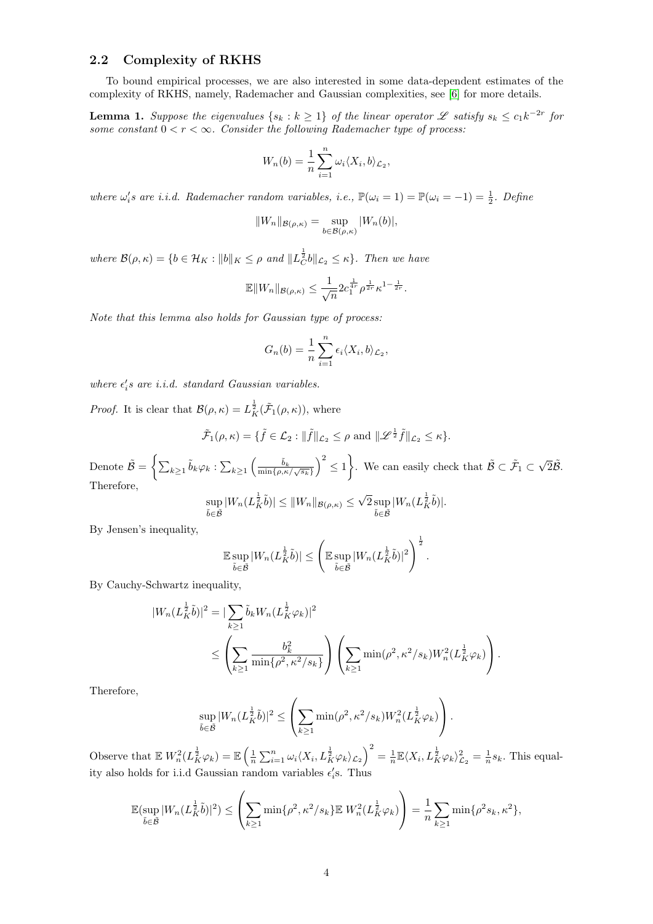### 2.2 Complexity of RKHS

To bound empirical processes, we are also interested in some data-dependent estimates of the complexity of RKHS, namely, Rademacher and Gaussian complexities, see [\[6\]](#page-15-6) for more details.

**Lemma 1.** Suppose the eigenvalues  $\{s_k : k \geq 1\}$  of the linear operator  $\mathscr L$  satisfy  $s_k \leq c_1 k^{-2r}$  for some constant  $0 < r < \infty$ . Consider the following Rademacher type of process:

$$
W_n(b) = \frac{1}{n} \sum_{i=1}^n \omega_i \langle X_i, b \rangle_{\mathcal{L}_2},
$$

where  $\omega_i$ 's are i.i.d. Rademacher random variables, i.e.,  $\mathbb{P}(\omega_i = 1) = \mathbb{P}(\omega_i = -1) = \frac{1}{2}$ . Define

$$
||W_n||_{\mathcal{B}(\rho,\kappa)} = \sup_{b \in \mathcal{B}(\rho,\kappa)} |W_n(b)|,
$$

where  $\mathcal{B}(\rho,\kappa) = \{b \in \mathcal{H}_K : ||b||_K \leq \rho \text{ and } ||L_C^{\frac{1}{2}}b||_{\mathcal{L}_2} \leq \kappa\}.$  Then we have

$$
\mathbb{E} \|W_n\|_{\mathcal{B}(\rho,\kappa)} \leq \frac{1}{\sqrt{n}} 2c_1^{\frac{1}{4r}} \rho^{\frac{1}{2r}} \kappa^{1-\frac{1}{2r}}.
$$

Note that this lemma also holds for Gaussian type of process:

$$
G_n(b) = \frac{1}{n} \sum_{i=1}^n \epsilon_i \langle X_i, b \rangle_{\mathcal{L}_2},
$$

where  $\epsilon_i$ 's are i.i.d. standard Gaussian variables.

*Proof.* It is clear that  $\mathcal{B}(\rho,\kappa) = L_K^{\frac{1}{2}}(\tilde{\mathcal{F}}_1(\rho,\kappa))$ , where

$$
\tilde{\mathcal{F}}_1(\rho,\kappa)=\{\tilde{f}\in\mathcal{L}_2:\|\tilde{f}\|_{\mathcal{L}_2}\leq\rho\text{ and }\|\mathscr{L}^{\frac{1}{2}}\tilde{f}\|_{\mathcal{L}_2}\leq\kappa\}.
$$

Denote  $\tilde{\mathcal{B}} = \left\{ \sum_{k \geq 1} \tilde{b}_k \varphi_k : \sum_{k \geq 1} \left( \frac{\tilde{b}_k}{\min\{\rho, \kappa/\sqrt{s_k}\}} \right)^2 \leq 1 \right\}$ . We can easily check that  $\tilde{\mathcal{B}} \subset \tilde{\mathcal{F}}_1 \subset$  $\sqrt{2}\tilde{\mathcal{B}}$ . Therefore, √

$$
\sup_{\tilde{b}\in\tilde{\mathcal{B}}} |W_n(L_K^{\frac{1}{2}}\tilde{b})| \leq ||W_n||_{\mathcal{B}(\rho,\kappa)} \leq \sqrt{2}\sup_{\tilde{b}\in\tilde{\mathcal{B}}} |W_n(L_K^{\frac{1}{2}}\tilde{b})|.
$$

By Jensen's inequality,

$$
\mathbb{E}\sup_{\tilde{b}\in\tilde{\mathcal{B}}}|W_n(L_K^{\frac{1}{2}}\tilde{b})|\leq \left(\mathbb{E}\sup_{\tilde{b}\in\tilde{\mathcal{B}}}|W_n(L_K^{\frac{1}{2}}\tilde{b})|^2\right)^{\frac{1}{2}}.
$$

By Cauchy-Schwartz inequality,

$$
|W_n(L_K^{\frac{1}{2}}\tilde{b})|^2 = |\sum_{k\geq 1} \tilde{b}_k W_n(L_K^{\frac{1}{2}}\varphi_k)|^2
$$
  
 
$$
\leq \left(\sum_{k\geq 1} \frac{b_k^2}{\min\{\rho^2, \kappa^2/s_k\}}\right) \left(\sum_{k\geq 1} \min(\rho^2, \kappa^2/s_k) W_n^2(L_K^{\frac{1}{2}}\varphi_k)\right).
$$

Therefore,

$$
\sup_{\tilde{b}\in\tilde{\mathcal{B}}} |W_n(L_K^{\frac{1}{2}}\tilde{b})|^2 \leq \left(\sum_{k\geq 1} \min(\rho^2, \kappa^2/s_k) W_n^2(L_K^{\frac{1}{2}}\varphi_k)\right).
$$

Observe that  $\mathbb{E} W_n^2(L^{\frac{1}{2}}_K \varphi_k) = \mathbb{E} \left( \frac{1}{n} \sum_{i=1}^n \omega_i \langle X_i, L^{\frac{1}{2}}_K \varphi_k \rangle_{\mathcal{L}_2} \right)^2 = \frac{1}{n} \mathbb{E} \langle X_i, L^{\frac{1}{2}}_K \varphi_k \rangle_{\mathcal{L}_2}^2 = \frac{1}{n} s_k$ . This equality also holds for i.i.d Gaussian random variables  $\epsilon_i$ s. Thus

$$
\mathbb{E}(\sup_{\tilde{b}\in\tilde{\mathcal{B}}}|W_n(L_{K}^{\frac{1}{2}}\tilde{b})|^2) \leq \left(\sum_{k\geq 1} \min\{\rho^2, \kappa^2/s_k\} \mathbb{E}|W_n^2(L_{K}^{\frac{1}{2}}\varphi_k)\right) = \frac{1}{n}\sum_{k\geq 1} \min\{\rho^2s_k, \kappa^2\},\
$$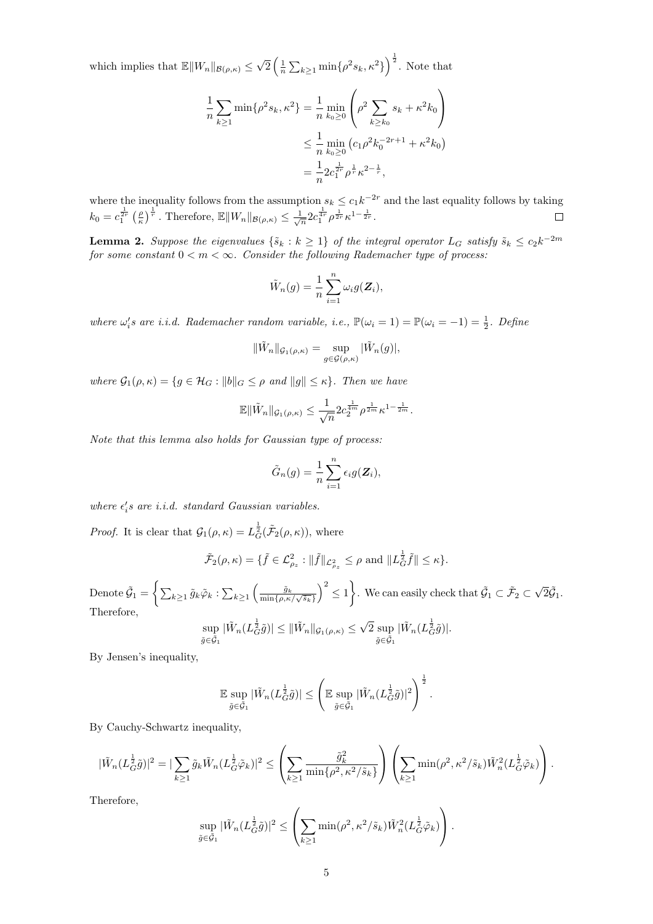which implies that  $\mathbb{E} \|W_n\|_{\mathcal{B}(\rho,\kappa)} \leq \sqrt{\rho}$  $\sqrt{2}\left(\frac{1}{n}\sum_{k\geq 1} \min\{\rho^2 s_k, \kappa^2\}\right)^{\frac{1}{2}}$ . Note that

$$
\frac{1}{n} \sum_{k \ge 1} \min \{ \rho^2 s_k, \kappa^2 \} = \frac{1}{n} \min_{k_0 \ge 0} \left( \rho^2 \sum_{k \ge k_0} s_k + \kappa^2 k_0 \right)
$$
  

$$
\le \frac{1}{n} \min_{k_0 \ge 0} \left( c_1 \rho^2 k_0^{-2r+1} + \kappa^2 k_0 \right)
$$
  

$$
= \frac{1}{n} 2c_1^{\frac{1}{2r}} \rho^{\frac{1}{r}} \kappa^{2-\frac{1}{r}},
$$

where the inequality follows from the assumption  $s_k \leq c_1 k^{-2r}$  and the last equality follows by taking  $k_0 = c_1^{\frac{1}{2r}} \left(\frac{\rho}{\kappa}\right)^{\frac{1}{r}}$ . Therefore,  $\mathbb{E} \|W_n\|_{\mathcal{B}(\rho,\kappa)} \leq \frac{1}{\sqrt{n}} 2c_1^{\frac{1}{4r}} \rho^{\frac{1}{2r}} \kappa^{1-\frac{1}{2r}}$ .

**Lemma 2.** Suppose the eigenvalues  $\{\tilde{s}_k : k \geq 1\}$  of the integral operator  $L_G$  satisfy  $\tilde{s}_k \leq c_2 k^{-2m}$ for some constant  $0 < m < \infty$ . Consider the following Rademacher type of process.

$$
\tilde{W}_n(g) = \frac{1}{n} \sum_{i=1}^n \omega_i g(\mathbf{Z}_i),
$$

where  $\omega_i$ 's are i.i.d. Rademacher random variable, i.e.,  $\mathbb{P}(\omega_i = 1) = \mathbb{P}(\omega_i = -1) = \frac{1}{2}$ . Define

$$
\|\tilde{W}_n\|_{\mathcal{G}_1(\rho,\kappa)} = \sup_{g \in \mathcal{G}(\rho,\kappa)} |\tilde{W}_n(g)|,
$$

where  $\mathcal{G}_1(\rho, \kappa) = \{g \in \mathcal{H}_G : ||b||_G \leq \rho \text{ and } ||g|| \leq \kappa\}.$  Then we have

$$
\mathbb{E} \|\tilde{W}_n\|_{\mathcal{G}_1(\rho,\kappa)} \leq \frac{1}{\sqrt{n}} 2c_2^{\frac{1}{4m}} \rho^{\frac{1}{2m}} \kappa^{1-\frac{1}{2m}}.
$$

Note that this lemma also holds for Gaussian type of process:

$$
\tilde{G}_n(g) = \frac{1}{n} \sum_{i=1}^n \epsilon_i g(\mathbf{Z}_i),
$$

where  $\epsilon_i$ 's are i.i.d. standard Gaussian variables.

*Proof.* It is clear that  $\mathcal{G}_1(\rho,\kappa) = L_G^{\frac{1}{2}}(\tilde{\mathcal{F}}_2(\rho,\kappa))$ , where

$$
\tilde{\mathcal{F}}_2(\rho,\kappa)=\{\tilde{f}\in\mathcal{L}^2_{\rho_z}: \|\tilde{f}\|_{\mathcal{L}^2_{\rho_z}}\leq\rho\text{ and }\|L_G^{\frac{1}{2}}\tilde{f}\|\leq\kappa\}.
$$

Denote  $\tilde{\mathcal{G}}_1 = \left\{ \sum_{k \geq 1} \tilde{g}_k \tilde{\varphi}_k : \sum_{k \geq 1} \left( \frac{\tilde{g}_k}{\min\{\rho, \kappa/\sqrt{\tilde{s}_k}\}} \right)^2 \leq 1 \right\}$ . We can easily check that  $\tilde{\mathcal{G}}_1 \subset \tilde{\mathcal{F}}_2 \subset$  $\sqrt{2}\tilde{\mathcal{G}}_1$ . Therefore, 1 √ 1

$$
\sup_{\tilde{g}\in\tilde{\mathcal{G}}_1} |\tilde{W}_n(L_{\tilde{G}}^{\frac{1}{2}}\tilde{g})| \leq ||\tilde{W}_n||_{\mathcal{G}_1(\rho,\kappa)} \leq \sqrt{2} \sup_{\tilde{g}\in\tilde{\mathcal{G}}_1} |\tilde{W}_n(L_{\tilde{G}}^{\frac{1}{2}}\tilde{g})|.
$$

By Jensen's inequality,

$$
\mathbb{E} \sup_{\tilde{g} \in \tilde{\mathcal{G}}_1} |\tilde{W}_n(L_G^{\frac{1}{2}}\tilde{g})| \leq \left( \mathbb{E} \sup_{\tilde{g} \in \tilde{\mathcal{G}}_1} |\tilde{W}_n(L_G^{\frac{1}{2}}\tilde{g})|^2 \right)^{\frac{1}{2}}.
$$

By Cauchy-Schwartz inequality,

$$
|\tilde{W}_n(L_G^{\frac{1}{2}}\tilde{g})|^2=|\sum_{k\geq 1}\tilde{g}_k\tilde{W}_n(L_G^{\frac{1}{2}}\tilde{\varphi}_k)|^2\leq \left(\sum_{k\geq 1}\frac{\tilde{g}_k^2}{\min\{\rho^2,\kappa^2/\tilde{s}_k\}}\right)\left(\sum_{k\geq 1}\min(\rho^2,\kappa^2/\tilde{s}_k)\tilde{W}_n^2(L_G^{\frac{1}{2}}\tilde{\varphi}_k)\right).
$$

Therefore,

$$
\sup_{\tilde{g}\in\tilde{\mathcal{G}}_1} |\tilde{W}_n(L_G^{\frac{1}{2}}\tilde{g})|^2 \leq \left(\sum_{k\geq 1} \min(\rho^2, \kappa^2/\tilde{s}_k) \tilde{W}_n^2(L_G^{\frac{1}{2}}\tilde{\varphi}_k)\right).
$$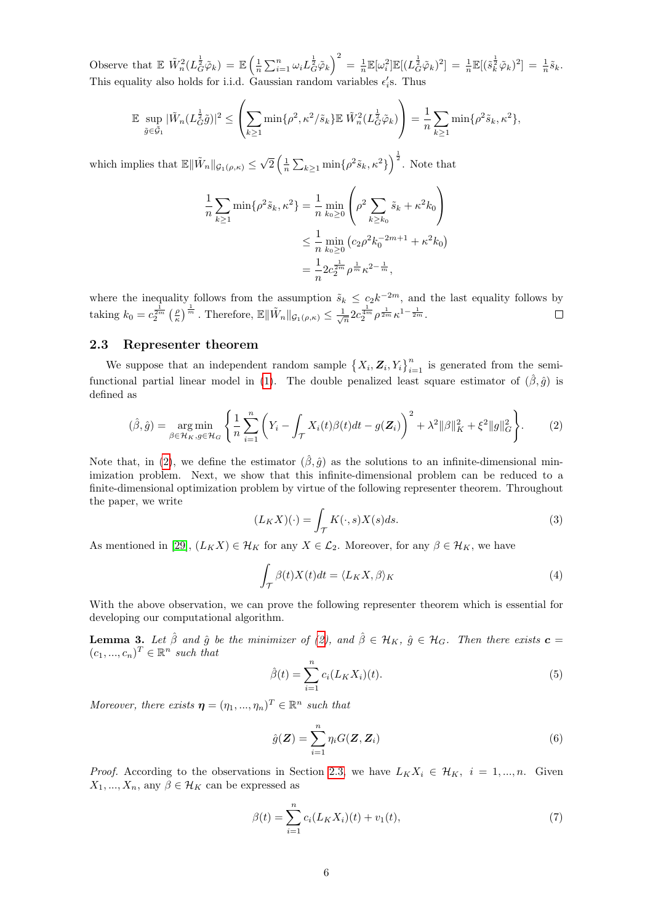Observe that  $\mathbb{E} \ \tilde{W}_n^2(L_{\tilde{G}}^{\frac{1}{2}}\tilde{\varphi}_k) = \mathbb{E} \left( \frac{1}{n} \sum_{i=1}^n \omega_i L_{\tilde{G}}^{\frac{1}{2}}\tilde{\varphi}_k \right)^2 = \frac{1}{n} \mathbb{E} [\omega_i^2] \mathbb{E} [(L_{\tilde{G}}^{\frac{1}{2}}\tilde{\varphi}_k)^2] = \frac{1}{n} \mathbb{E} [(\tilde{s}_k^{\frac{1}{2}}\tilde{\varphi}_k)^2] = \frac{1}{n} \tilde{s}_k$ This equality also holds for i.i.d. Gaussian random variables  $\epsilon_i$ 's. Thus

$$
\mathbb{E} \sup_{\tilde{g}\in\tilde{\mathcal{G}}_1} |\tilde{W}_n(L_{\tilde{G}}^{\frac{1}{2}}\tilde{g})|^2 \leq \left(\sum_{k\geq 1} \min\{\rho^2, \kappa^2/\tilde{s}_k\} \mathbb{E} |\tilde{W}_n^2(L_{\tilde{G}}^{\frac{1}{2}}\tilde{\varphi}_k)\right) = \frac{1}{n} \sum_{k\geq 1} \min\{\rho^2 \tilde{s}_k, \kappa^2\},
$$

which implies that  $\mathbb{E} \|\tilde{W}_n\|_{\mathcal{G}_1(\rho,\kappa)} \leq$ √  $\sqrt{2}\left(\frac{1}{n}\sum_{k\geq 1} \min\{\rho^2 \tilde{s}_k, \kappa^2\}\right)^{\frac{1}{2}}$ . Note that

$$
\frac{1}{n} \sum_{k \ge 1} \min\{\rho^2 \tilde{s}_k, \kappa^2\} = \frac{1}{n} \min_{k_0 \ge 0} \left(\rho^2 \sum_{k \ge k_0} \tilde{s}_k + \kappa^2 k_0\right)
$$
  

$$
\le \frac{1}{n} \min_{k_0 \ge 0} \left(c_2 \rho^2 k_0^{-2m+1} + \kappa^2 k_0\right)
$$
  

$$
= \frac{1}{n} 2c_2^{\frac{1}{2m}} \rho^{\frac{1}{m}} \kappa^{2 - \frac{1}{m}},
$$

where the inequality follows from the assumption  $\tilde{s}_k \leq c_2 k^{-2m}$ , and the last equality follows by taking  $k_0 = c_2^{\frac{1}{2m}} \left(\frac{\rho}{\kappa}\right)^{\frac{1}{m}}$ . Therefore,  $\mathbb{E} \|\tilde{W}_n\|_{\mathcal{G}_1(\rho,\kappa)} \leq \frac{1}{\sqrt{n}} 2c_2^{\frac{1}{4m}} \rho^{\frac{1}{2m}} \kappa^{1-\frac{1}{2m}}$ .

#### <span id="page-5-1"></span>2.3 Representer theorem

We suppose that an independent random sample  $\{X_i, Z_i, Y_i\}_{i=1}^n$  is generated from the semi-functional partial linear model in [\(1\)](#page-1-0). The double penalized least square estimator of  $(\hat{\beta}, \hat{g})$  is defined as

<span id="page-5-0"></span>
$$
(\hat{\beta}, \hat{g}) = \underset{\beta \in \mathcal{H}_K, g \in \mathcal{H}_G}{\arg \min} \left\{ \frac{1}{n} \sum_{i=1}^n \left( Y_i - \int_{\mathcal{T}} X_i(t) \beta(t) dt - g(\mathbf{Z}_i) \right)^2 + \lambda^2 ||\beta||_K^2 + \xi^2 ||g||_G^2 \right\}.
$$
 (2)

Note that, in [\(2\)](#page-5-0), we define the estimator  $(\hat{\beta}, \hat{g})$  as the solutions to an infinite-dimensional minimization problem. Next, we show that this infinite-dimensional problem can be reduced to a finite-dimensional optimization problem by virtue of the following representer theorem. Throughout the paper, we write

$$
(L_K X)(\cdot) = \int_{\mathcal{T}} K(\cdot, s) X(s) ds.
$$
\n(3)

As mentioned in [\[29\]](#page-16-1),  $(L_K X) \in \mathcal{H}_K$  for any  $X \in \mathcal{L}_2$ . Moreover, for any  $\beta \in \mathcal{H}_K$ , we have

<span id="page-5-3"></span>
$$
\int_{\mathcal{T}} \beta(t)X(t)dt = \langle L_K X, \beta \rangle_K \tag{4}
$$

With the above observation, we can prove the following representer theorem which is essential for developing our computational algorithm.

<span id="page-5-4"></span>**Lemma 3.** Let  $\hat{\beta}$  and  $\hat{g}$  be the minimizer of [\(2\)](#page-5-0), and  $\hat{\beta} \in \mathcal{H}_K$ ,  $\hat{g} \in \mathcal{H}_G$ . Then there exists  $\mathbf{c} =$  $(c_1, ..., c_n)^T \in \mathbb{R}^n$  such that

$$
\hat{\beta}(t) = \sum_{i=1}^{n} c_i (L_K X_i)(t).
$$
 (5)

Moreover, there exists  $\boldsymbol{\eta} = (\eta_1, ..., \eta_n)^T \in \mathbb{R}^n$  such that

$$
\hat{g}(\mathbf{Z}) = \sum_{i=1}^{n} \eta_i G(\mathbf{Z}, \mathbf{Z}_i)
$$
\n(6)

*Proof.* According to the observations in Section [2.3,](#page-5-1) we have  $L_K X_i \in \mathcal{H}_K$ ,  $i = 1, ..., n$ . Given  $X_1, ..., X_n$ , any  $\beta \in \mathcal{H}_K$  can be expressed as

<span id="page-5-2"></span>
$$
\beta(t) = \sum_{i=1}^{n} c_i (L_K X_i)(t) + v_1(t),\tag{7}
$$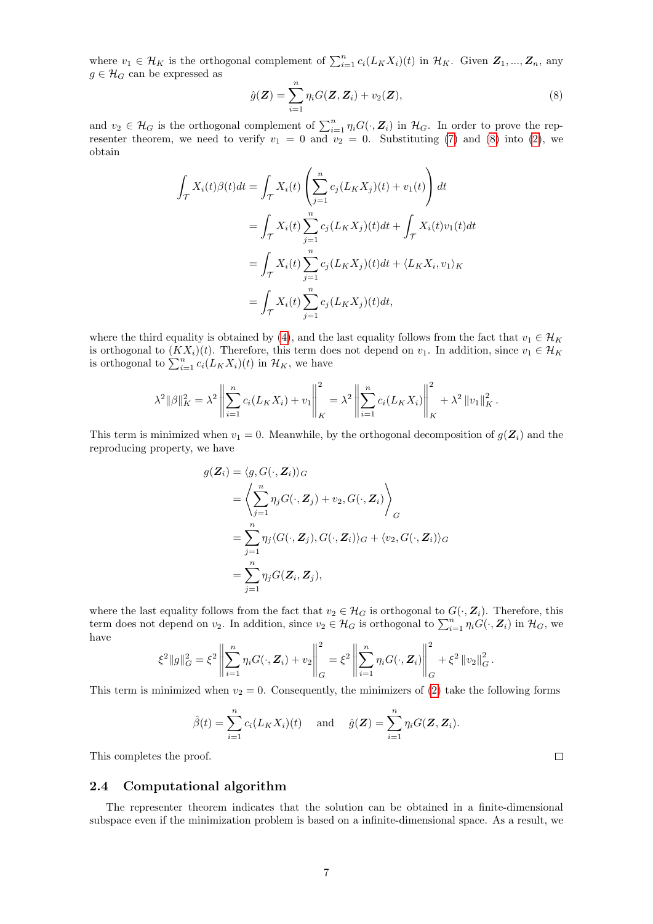where  $v_1 \in \mathcal{H}_K$  is the orthogonal complement of  $\sum_{i=1}^n c_i (L_K X_i)(t)$  in  $\mathcal{H}_K$ . Given  $\mathbf{Z}_1, ..., \mathbf{Z}_n$ , any  $g \in \mathcal{H}_G$  can be expressed as

<span id="page-6-0"></span>
$$
\hat{g}(\boldsymbol{Z}) = \sum_{i=1}^{n} \eta_i G(\boldsymbol{Z}, \boldsymbol{Z}_i) + v_2(\boldsymbol{Z}),
$$
\n(8)

and  $v_2 \in \mathcal{H}_G$  is the orthogonal complement of  $\sum_{i=1}^n \eta_i G(\cdot, \mathbf{Z}_i)$  in  $\mathcal{H}_G$ . In order to prove the representer theorem, we need to verify  $v_1 = 0$  and  $v_2 = 0$ . Substituting [\(7\)](#page-5-2) and [\(8\)](#page-6-0) into [\(2\)](#page-5-0), we obtain

$$
\int_{\mathcal{T}} X_i(t)\beta(t)dt = \int_{\mathcal{T}} X_i(t) \left( \sum_{j=1}^n c_j(L_K X_j)(t) + v_1(t) \right) dt
$$
  
\n
$$
= \int_{\mathcal{T}} X_i(t) \sum_{j=1}^n c_j(L_K X_j)(t)dt + \int_{\mathcal{T}} X_i(t)v_1(t)dt
$$
  
\n
$$
= \int_{\mathcal{T}} X_i(t) \sum_{j=1}^n c_j(L_K X_j)(t)dt + \langle L_K X_i, v_1 \rangle_K
$$
  
\n
$$
= \int_{\mathcal{T}} X_i(t) \sum_{j=1}^n c_j(L_K X_j)(t)dt,
$$

where the third equality is obtained by [\(4\)](#page-5-3), and the last equality follows from the fact that  $v_1 \in \mathcal{H}_K$ is orthogonal to  $(KX_i)(t)$ . Therefore, this term does not depend on  $v_1$ . In addition, since  $v_1 \in \mathcal{H}_K$ is orthogonal to  $\sum_{i=1}^{n} c_i (L_K X_i)(t)$  in  $\mathcal{H}_K$ , we have

$$
\lambda^{2} \|\beta\|_{K}^{2} = \lambda^{2} \left\| \sum_{i=1}^{n} c_{i}(L_{K}X_{i}) + v_{1} \right\|_{K}^{2} = \lambda^{2} \left\| \sum_{i=1}^{n} c_{i}(L_{K}X_{i}) \right\|_{K}^{2} + \lambda^{2} \|v_{1}\|_{K}^{2}.
$$

This term is minimized when  $v_1 = 0$ . Meanwhile, by the orthogonal decomposition of  $g(Z_i)$  and the reproducing property, we have

$$
g(\mathbf{Z}_{i}) = \langle g, G(\cdot, \mathbf{Z}_{i}) \rangle_{G}
$$
  
=  $\left\langle \sum_{j=1}^{n} \eta_{j} G(\cdot, \mathbf{Z}_{j}) + v_{2}, G(\cdot, \mathbf{Z}_{i}) \right\rangle_{G}$   
=  $\sum_{j=1}^{n} \eta_{j} \langle G(\cdot, \mathbf{Z}_{j}), G(\cdot, \mathbf{Z}_{i}) \rangle_{G} + \langle v_{2}, G(\cdot, \mathbf{Z}_{i}) \rangle_{G}$   
=  $\sum_{j=1}^{n} \eta_{j} G(\mathbf{Z}_{i}, \mathbf{Z}_{j}),$ 

where the last equality follows from the fact that  $v_2 \in \mathcal{H}_G$  is orthogonal to  $G(\cdot, \mathbf{Z}_i)$ . Therefore, this term does not depend on  $v_2$ . In addition, since  $v_2 \in \mathcal{H}_G$  is orthogonal to  $\sum_{i=1}^n \eta_i G(\cdot, \mathbf{Z}_i)$  in  $\mathcal{H}_G$ , we have

$$
\xi^2 \|g\|_G^2 = \xi^2 \left\| \sum_{i=1}^n \eta_i G(\cdot, \mathbf{Z}_i) + v_2 \right\|_G^2 = \xi^2 \left\| \sum_{i=1}^n \eta_i G(\cdot, \mathbf{Z}_i) \right\|_G^2 + \xi^2 \|v_2\|_G^2.
$$

This term is minimized when  $v_2 = 0$ . Consequently, the minimizers of [\(2\)](#page-5-0) take the following forms

$$
\hat{\beta}(t) = \sum_{i=1}^{n} c_i (L_K X_i)(t)
$$
 and  $\hat{g}(\mathbf{Z}) = \sum_{i=1}^{n} \eta_i G(\mathbf{Z}, \mathbf{Z}_i).$ 

 $\Box$ 

This completes the proof.

#### <span id="page-6-1"></span>2.4 Computational algorithm

The representer theorem indicates that the solution can be obtained in a finite-dimensional subspace even if the minimization problem is based on a infinite-dimensional space. As a result, we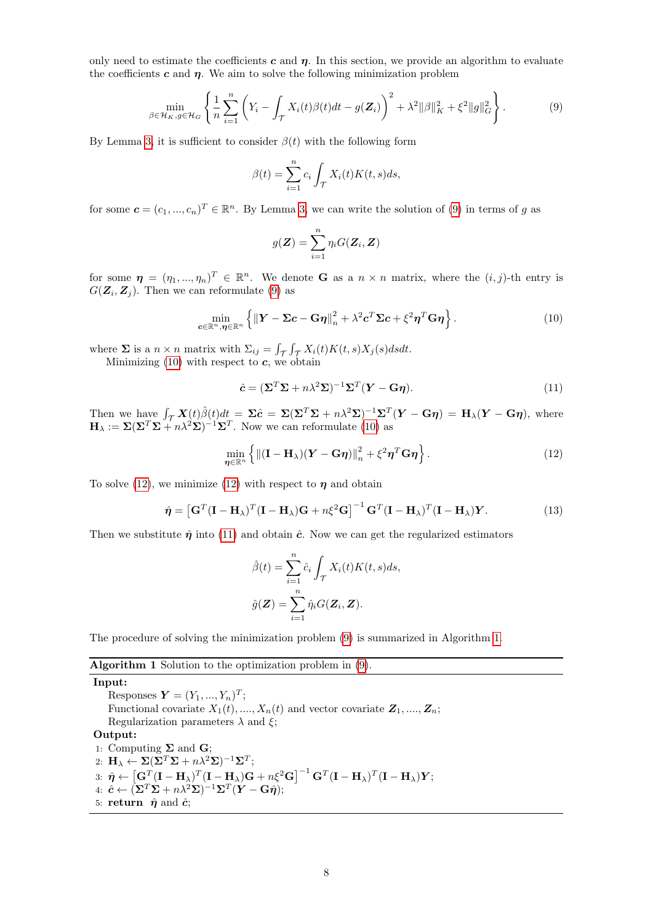only need to estimate the coefficients c and  $\eta$ . In this section, we provide an algorithm to evaluate the coefficients  $c$  and  $\eta$ . We aim to solve the following minimization problem

<span id="page-7-0"></span>
$$
\min_{\beta \in \mathcal{H}_K, g \in \mathcal{H}_G} \left\{ \frac{1}{n} \sum_{i=1}^n \left( Y_i - \int_{\mathcal{T}} X_i(t) \beta(t) dt - g(\mathbf{Z}_i) \right)^2 + \lambda^2 ||\beta||_K^2 + \xi^2 ||g||_G^2 \right\}.
$$
 (9)

By Lemma [3,](#page-5-4) it is sufficient to consider  $\beta(t)$  with the following form

$$
\beta(t) = \sum_{i=1}^{n} c_i \int_{\mathcal{T}} X_i(t) K(t, s) ds,
$$

for some  $\mathbf{c} = (c_1, ..., c_n)^T \in \mathbb{R}^n$ . By Lemma [3,](#page-5-4) we can write the solution of [\(9\)](#page-7-0) in terms of g as

$$
g(\mathbf{Z}) = \sum_{i=1}^{n} \eta_i G(\mathbf{Z}_i, \mathbf{Z})
$$

for some  $\boldsymbol{\eta} = (\eta_1, ..., \eta_n)^T \in \mathbb{R}^n$ . We denote **G** as a  $n \times n$  matrix, where the  $(i, j)$ -th entry is  $G(\mathbf{Z}_i, \mathbf{Z}_j)$ . Then we can reformulate [\(9\)](#page-7-0) as

<span id="page-7-1"></span>
$$
\min_{\mathbf{c}\in\mathbb{R}^n,\boldsymbol{\eta}\in\mathbb{R}^n} \left\{ \left\| \mathbf{Y} - \boldsymbol{\Sigma}\mathbf{c} - \mathbf{G}\boldsymbol{\eta} \right\|_{n}^{2} + \lambda^2 \mathbf{c}^T \boldsymbol{\Sigma}\mathbf{c} + \xi^2 \boldsymbol{\eta}^T \mathbf{G} \boldsymbol{\eta} \right\}.
$$
 (10)

where  $\Sigma$  is a  $n \times n$  matrix with  $\Sigma_{ij} = \int_{\mathcal{T}} \int_{\mathcal{T}} X_i(t) K(t, s) X_j(s) ds dt$ .

<span id="page-7-3"></span>Minimizing  $(10)$  with respect to  $c$ , we obtain

$$
\hat{c} = (\Sigma^T \Sigma + n\lambda^2 \Sigma)^{-1} \Sigma^T (\boldsymbol{Y} - \mathbf{G}\boldsymbol{\eta}). \tag{11}
$$

Then we have  $\int_{\mathcal{T}} \mathbf{X}(t) \hat{\beta}(t) dt = \Sigma \hat{c} = \Sigma (\Sigma^T \Sigma + n \lambda^2 \Sigma)^{-1} \Sigma^T (\mathbf{Y} - \mathbf{G} \eta) = \mathbf{H}_{\lambda} (\mathbf{Y} - \mathbf{G} \eta)$ , where  $\mathbf{H}_{\lambda} := \Sigma (\Sigma^T \Sigma + n \lambda^2 \Sigma)^{-1} \Sigma^T$ . Now we can reformulate [\(10\)](#page-7-1) as

<span id="page-7-2"></span>
$$
\min_{\boldsymbol{\eta} \in \mathbb{R}^n} \left\{ \| (\mathbf{I} - \mathbf{H}_{\lambda})(\mathbf{Y} - \mathbf{G}\boldsymbol{\eta}) \|_n^2 + \xi^2 \boldsymbol{\eta}^T \mathbf{G} \boldsymbol{\eta} \right\}.
$$
 (12)

To solve [\(12\)](#page-7-2), we minimize (12) with respect to  $\eta$  and obtain

$$
\hat{\eta} = \left[\mathbf{G}^T(\mathbf{I} - \mathbf{H}_{\lambda})^T(\mathbf{I} - \mathbf{H}_{\lambda})\mathbf{G} + n\xi^2\mathbf{G}\right]^{-1}\mathbf{G}^T(\mathbf{I} - \mathbf{H}_{\lambda})^T(\mathbf{I} - \mathbf{H}_{\lambda})\mathbf{Y}.
$$
\n(13)

Then we substitute  $\hat{\eta}$  into [\(11\)](#page-7-3) and obtain  $\hat{c}$ . Now we can get the regularized estimators

$$
\hat{\beta}(t) = \sum_{i=1}^{n} \hat{c}_i \int_{\mathcal{T}} X_i(t) K(t, s) ds,
$$

$$
\hat{g}(\mathbf{Z}) = \sum_{i=1}^{n} \hat{\eta}_i G(\mathbf{Z}_i, \mathbf{Z}).
$$

The procedure of solving the minimization problem [\(9\)](#page-7-0) is summarized in Algorithm [1.](#page-7-4)

#### Algorithm 1 Solution to the optimization problem in [\(9\)](#page-7-0).

Input:

Responses  $\boldsymbol{Y} = (Y_1, ..., Y_n)^T;$ Functional covariate  $X_1(t), ..., X_n(t)$  and vector covariate  $\mathbf{Z}_1, ..., \mathbf{Z}_n$ ; Regularization parameters  $\lambda$  and  $\xi$ ;

#### Output:

<span id="page-7-4"></span>1: Computing  $\Sigma$  and  $\mathbf{G}$ ; 2:  $\mathbf{H}_{\lambda} \leftarrow \mathbf{\Sigma} (\mathbf{\Sigma}^T \mathbf{\Sigma} + n \lambda^2 \mathbf{\Sigma})^{-1} \mathbf{\Sigma}^T;$  $\begin{aligned} \text{3:} \; \hat{\pmb{\eta}} \leftarrow \left[ \textbf{G}^{T} (\textbf{I}-\textbf{H}_{\lambda})^{T} (\textbf{I}-\textbf{H}_{\lambda}) \textbf{G} + n \xi^2 \textbf{G} \right]^{-1} \textbf{G}^{T} (\textbf{I}-\textbf{H}_{\lambda})^{T} (\textbf{I}-\textbf{H}_{\lambda}) \boldsymbol{Y}; \end{aligned}$  $4: \; \hat{\bm{c}} \leftarrow (\mathbf{\bar{\Sigma}}^T\mathbf{\Sigma} + n\lambda^2\mathbf{\Sigma})^{-1}\mathbf{\Sigma}^T(\bm{Y} - \mathbf{G}\hat{\bm{\eta}});$ 5: return  $\hat{\eta}$  and  $\hat{c}$ ;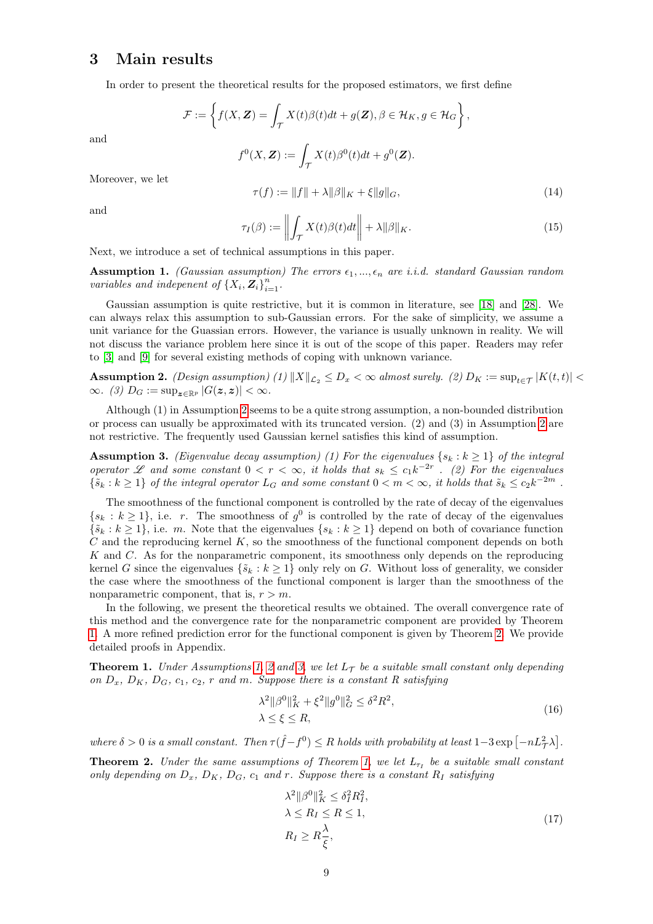### <span id="page-8-0"></span>3 Main results

In order to present the theoretical results for the proposed estimators, we first define

$$
\mathcal{F} := \left\{ f(X, \mathbf{Z}) = \int_{\mathcal{T}} X(t) \beta(t) dt + g(\mathbf{Z}), \beta \in \mathcal{H}_K, g \in \mathcal{H}_G \right\},\
$$

and

$$
f^{0}(X, \mathbf{Z}) := \int_{\mathcal{T}} X(t) \beta^{0}(t) dt + g^{0}(\mathbf{Z}).
$$

Moreover, we let

$$
\tau(f) := \|f\| + \lambda \|\beta\|_{K} + \xi \|g\|_{G},\tag{14}
$$

and

$$
\tau_I(\beta) := \left\| \int_{\mathcal{T}} X(t)\beta(t)dt \right\| + \lambda \|\beta\|_K. \tag{15}
$$

Next, we introduce a set of technical assumptions in this paper.

<span id="page-8-4"></span>**Assumption 1.** (Gaussian assumption) The errors  $\epsilon_1, ..., \epsilon_n$  are i.i.d. standard Gaussian random variables and indepenent of  $\{X_i, \overrightarrow{\mathbf{Z}_i}\}_{i=1}^n$ .

Gaussian assumption is quite restrictive, but it is common in literature, see [\[18\]](#page-15-16) and [\[28\]](#page-16-2). We can always relax this assumption to sub-Gaussian errors. For the sake of simplicity, we assume a unit variance for the Guassian errors. However, the variance is usually unknown in reality. We will not discuss the variance problem here since it is out of the scope of this paper. Readers may refer to [\[3\]](#page-15-17) and [\[9\]](#page-15-18) for several existing methods of coping with unknown variance.

<span id="page-8-1"></span>**Assumption 2.** (Design assumption) (1)  $||X||_{\mathcal{L}_2} \leq D_x < \infty$  almost surely. (2)  $D_K := \sup_{t \in \mathcal{T}} |K(t,t)| <$  $\infty$ . (3)  $D_G := \sup_{z \in \mathbb{R}^p} |G(z, z)| < \infty$ .

Although (1) in Assumption [2](#page-8-1) seems to be a quite strong assumption, a non-bounded distribution or process can usually be approximated with its truncated version. (2) and (3) in Assumption [2](#page-8-1) are not restrictive. The frequently used Gaussian kernel satisfies this kind of assumption.

<span id="page-8-5"></span>**Assumption 3.** (Eigenvalue decay assumption) (1) For the eigenvalues  $\{s_k : k \geq 1\}$  of the integral operator L and some constant  $0 < r < \infty$ , it holds that  $s_k \leq c_1 k^{-2r}$ . (2) For the eigenvalues  $\{\tilde{s}_k : k \geq 1\}$  of the integral operator  $L_G$  and some constant  $0 < m < \infty$ , it holds that  $\tilde{s}_k \leq c_2 k^{-2m}$ .

The smoothness of the functional component is controlled by the rate of decay of the eigenvalues  $\{s_k : k \geq 1\}$ , i.e. r. The smoothness of  $g^0$  is controlled by the rate of decay of the eigenvalues  $\{\tilde{s}_k : k \geq 1\}$ , i.e. m. Note that the eigenvalues  $\{s_k : k \geq 1\}$  depend on both of covariance function  $C$  and the reproducing kernel  $K$ , so the smoothness of the functional component depends on both  $K$  and  $C$ . As for the nonparametric component, its smoothness only depends on the reproducing kernel G since the eigenvalues  $\{\tilde{s}_k : k \geq 1\}$  only rely on G. Without loss of generality, we consider the case where the smoothness of the functional component is larger than the smoothness of the nonparametric component, that is,  $r > m$ .

In the following, we present the theoretical results we obtained. The overall convergence rate of this method and the convergence rate for the nonparametric component are provided by Theorem [1.](#page-8-2) A more refined prediction error for the functional component is given by Theorem [2.](#page-8-3) We provide detailed proofs in Appendix.

<span id="page-8-2"></span>**Theorem 1.** Under Assumptions [1,](#page-8-4) [2](#page-8-1) and [3,](#page-8-5) we let  $L_{\mathcal{T}}$  be a suitable small constant only depending on  $D_x$ ,  $D_K$ ,  $D_G$ ,  $c_1$ ,  $c_2$ , r and m. Suppose there is a constant R satisfying

$$
\lambda^{2} \|\beta^{0}\|_{K}^{2} + \xi^{2} \|g^{0}\|_{G}^{2} \leq \delta^{2} R^{2},
$$
  
 
$$
\lambda \leq \xi \leq R,
$$
 (16)

<span id="page-8-6"></span>where  $\delta > 0$  is a small constant. Then  $\tau(\hat{f} - f^0) \leq R$  holds with probability at least  $1-3 \exp[-nL^2/\lambda]$ .

<span id="page-8-3"></span>**Theorem 2.** Under the same assumptions of Theorem [1,](#page-8-2) we let  $L_{\tau_I}$  be a suitable small constant only depending on  $D_x$ ,  $D_K$ ,  $D_G$ ,  $c_1$  and r. Suppose there is a constant  $R_I$  satisfying

$$
\lambda^{2} \|\beta^{0}\|_{K}^{2} \leq \delta_{I}^{2} R_{I}^{2},
$$
  
\n
$$
\lambda \leq R_{I} \leq R \leq 1,
$$
  
\n
$$
R_{I} \geq R \frac{\lambda}{\xi},
$$
\n(17)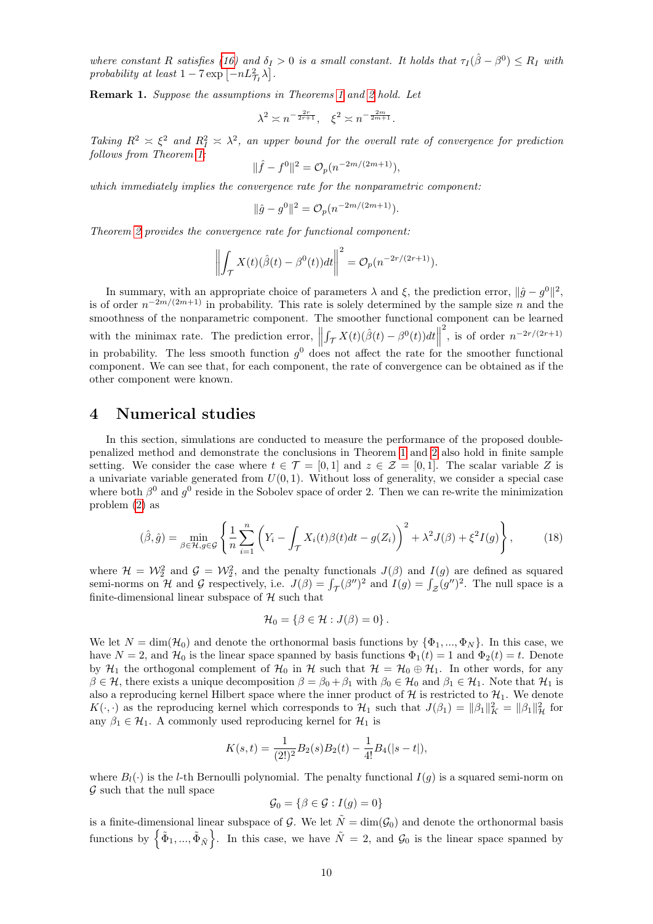where constant R satisfies [\(16\)](#page-8-6) and  $\delta_I > 0$  is a small constant. It holds that  $\tau_I(\hat{\beta} - \beta^0) \le R_I$  with probability at least  $1 - 7 \exp \left[-nL_{\mathcal{T}_I}^2 \lambda\right]$ .

Remark 1. Suppose the assumptions in Theorems [1](#page-8-2) and [2](#page-8-3) hold. Let

$$
\lambda^2 \asymp n^{-\frac{2r}{2r+1}}, \quad \xi^2 \asymp n^{-\frac{2m}{2m+1}}.
$$

Taking  $R^2 \times \xi^2$  and  $R_I^2 \times \lambda^2$ , an upper bound for the overall rate of convergence for prediction follows from Theorem [1:](#page-8-2)

$$
\|\hat{f} - f^0\|^2 = \mathcal{O}_p(n^{-2m/(2m+1)}),
$$

which immediately implies the convergence rate for the nonparametric component:

$$
\|\hat{g} - g^0\|^2 = \mathcal{O}_p(n^{-2m/(2m+1)}).
$$

Theorem [2](#page-8-3) provides the convergence rate for functional component:

$$
\left\| \int_{\mathcal{T}} X(t) (\hat{\beta}(t) - \beta^{0}(t)) dt \right\|^{2} = \mathcal{O}_{p}(n^{-2r/(2r+1)}).
$$

In summary, with an appropriate choice of parameters  $\lambda$  and  $\xi$ , the prediction error,  $\|\hat{g} - g^0\|^2$ , is of order  $n^{-2m/(2m+1)}$  in probability. This rate is solely determined by the sample size n and the smoothness of the nonparametric component. The smoother functional component can be learned with the minimax rate. The prediction error,  $\|\cdot\|$  $\int_{\mathcal{T}} X(t) (\hat{\beta}(t) - \beta^{0}(t)) dt$ <sup>2</sup>, is of order  $n^{-2r/(2r+1)}$ in probability. The less smooth function  $g^0$  does not affect the rate for the smoother functional component. We can see that, for each component, the rate of convergence can be obtained as if the other component were known.

## <span id="page-9-0"></span>4 Numerical studies

In this section, simulations are conducted to measure the performance of the proposed doublepenalized method and demonstrate the conclusions in Theorem [1](#page-8-2) and [2](#page-8-3) also hold in finite sample setting. We consider the case where  $t \in \mathcal{T} = [0, 1]$  and  $z \in \mathcal{Z} = [0, 1]$ . The scalar variable Z is a univariate variable generated from  $U(0, 1)$ . Without loss of generality, we consider a special case where both  $\beta^0$  and  $g^0$  reside in the Sobolev space of order 2. Then we can re-write the minimization problem [\(2\)](#page-5-0) as

<span id="page-9-1"></span>
$$
(\hat{\beta}, \hat{g}) = \min_{\beta \in \mathcal{H}, g \in \mathcal{G}} \left\{ \frac{1}{n} \sum_{i=1}^{n} \left( Y_i - \int_{\mathcal{T}} X_i(t) \beta(t) dt - g(Z_i) \right)^2 + \lambda^2 J(\beta) + \xi^2 I(g) \right\},\tag{18}
$$

where  $\mathcal{H} = \mathcal{W}_2^2$  and  $\mathcal{G} = \mathcal{W}_2^2$ , and the penalty functionals  $J(\beta)$  and  $I(g)$  are defined as squared semi-norms on H and G respectively, i.e.  $J(\beta) = \int_{\mathcal{T}} (\beta'')^2$  and  $I(g) = \int_{\mathcal{Z}} (g'')^2$ . The null space is a finite-dimensional linear subspace of  $H$  such that

$$
\mathcal{H}_0 = \{ \beta \in \mathcal{H} : J(\beta) = 0 \}.
$$

We let  $N = \dim(\mathcal{H}_0)$  and denote the orthonormal basis functions by  $\{\Phi_1, ..., \Phi_N\}$ . In this case, we have  $N = 2$ , and  $\mathcal{H}_0$  is the linear space spanned by basis functions  $\Phi_1(t) = 1$  and  $\Phi_2(t) = t$ . Denote by  $\mathcal{H}_1$  the orthogonal complement of  $\mathcal{H}_0$  in H such that  $\mathcal{H} = \mathcal{H}_0 \oplus \mathcal{H}_1$ . In other words, for any  $\beta \in \mathcal{H}$ , there exists a unique decomposition  $\beta = \beta_0 + \beta_1$  with  $\beta_0 \in \mathcal{H}_0$  and  $\beta_1 \in \mathcal{H}_1$ . Note that  $\mathcal{H}_1$  is also a reproducing kernel Hilbert space where the inner product of  $H$  is restricted to  $H_1$ . We denote  $K(\cdot, \cdot)$  as the reproducing kernel which corresponds to  $\mathcal{H}_1$  such that  $J(\beta_1) = ||\beta_1||_K^2 = ||\beta_1||_H^2$  for any  $\beta_1 \in \mathcal{H}_1$ . A commonly used reproducing kernel for  $\mathcal{H}_1$  is

$$
K(s,t) = \frac{1}{(2!)^2} B_2(s) B_2(t) - \frac{1}{4!} B_4(|s-t|),
$$

where  $B_l(\cdot)$  is the l-th Bernoulli polynomial. The penalty functional  $I(g)$  is a squared semi-norm on  $\mathcal G$  such that the null space

$$
\mathcal{G}_0 = \{ \beta \in \mathcal{G} : I(g) = 0 \}
$$

is a finite-dimensional linear subspace of G. We let  $\tilde{N} = \dim(\mathcal{G}_0)$  and denote the orthonormal basis functions by  $\left\{\tilde{\Phi}_1,...,\tilde{\Phi}_{\tilde{N}}\right\}$ . In this case, we have  $\tilde{N}=2$ , and  $\mathcal{G}_0$  is the linear space spanned by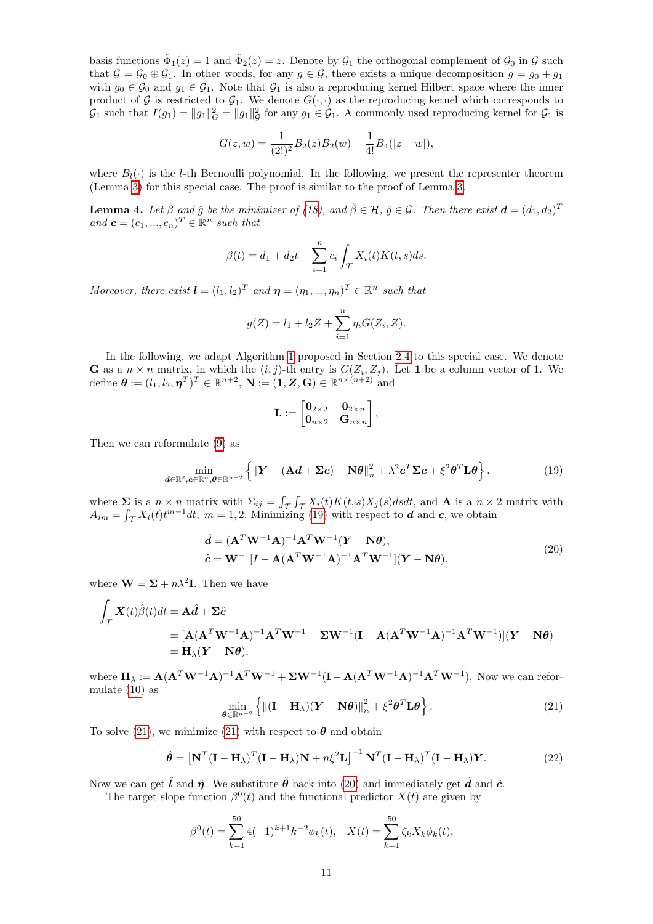basis functions  $\tilde{\Phi}_1(z) = 1$  and  $\tilde{\Phi}_2(z) = z$ . Denote by  $\mathcal{G}_1$  the orthogonal complement of  $\mathcal{G}_0$  in  $\mathcal{G}$  such that  $\mathcal{G} = \mathcal{G}_0 \oplus \mathcal{G}_1$ . In other words, for any  $g \in \mathcal{G}$ , there exists a unique decomposition  $g = g_0 + g_1$ with  $g_0 \in \mathcal{G}_0$  and  $g_1 \in \mathcal{G}_1$ . Note that  $\mathcal{G}_1$  is also a reproducing kernel Hilbert space where the inner product of G is restricted to  $G_1$ . We denote  $G(\cdot, \cdot)$  as the reproducing kernel which corresponds to  $\mathcal{G}_1$  such that  $I(g_1) = ||g_1||_G^2 = ||g_1||_G^2$  for any  $g_1 \in \mathcal{G}_1$ . A commonly used reproducing kernel for  $\mathcal{G}_1$  is

$$
G(z, w) = \frac{1}{(2!)^2} B_2(z) B_2(w) - \frac{1}{4!} B_4(|z - w|),
$$

where  $B_l(\cdot)$  is the *l*-th Bernoulli polynomial. In the following, we present the representer theorem (Lemma [3\)](#page-5-4) for this special case. The proof is similar to the proof of Lemma [3.](#page-5-4)

**Lemma 4.** Let  $\hat{\beta}$  and  $\hat{g}$  be the minimizer of [\(18\)](#page-9-1), and  $\hat{\beta} \in \mathcal{H}$ ,  $\hat{g} \in \mathcal{G}$ . Then there exist  $\boldsymbol{d} = (d_1, d_2)^T$ and  $\mathbf{c} = (c_1, ..., c_n)^T \in \mathbb{R}^n$  such that

$$
\beta(t) = d_1 + d_2 t + \sum_{i=1}^{n} c_i \int_{\mathcal{T}} X_i(t) K(t, s) ds.
$$

Moreover, there exist  $\mathbf{l} = (l_1, l_2)^T$  and  $\mathbf{\eta} = (\eta_1, ..., \eta_n)^T \in \mathbb{R}^n$  such that

$$
g(Z) = l_1 + l_2 Z + \sum_{i=1}^{n} \eta_i G(Z_i, Z).
$$

In the following, we adapt Algorithm [1](#page-7-4) proposed in Section [2.4](#page-6-1) to this special case. We denote **G** as a  $n \times n$  matrix, in which the  $(i, j)$ -th entry is  $G(Z_i, Z_j)$ . Let 1 be a column vector of 1. We define  $\boldsymbol{\theta} := (l_1, l_2, \boldsymbol{\eta}^T)^T \in \mathbb{R}^{n+2}$ ,  $\mathbf{N} := (\mathbf{1}, \mathbf{Z}, \mathbf{G}) \in \mathbb{R}^{n \times (n+2)}$  and

$$
\mathbf{L} := \begin{bmatrix} \mathbf{0}_{2 \times 2} & \mathbf{0}_{2 \times n} \\ \mathbf{0}_{n \times 2} & \mathbf{G}_{n \times n} \end{bmatrix},
$$

Then we can reformulate [\(9\)](#page-7-0) as

<span id="page-10-0"></span>
$$
\min_{\boldsymbol{d}\in\mathbb{R}^2,\boldsymbol{c}\in\mathbb{R}^n,\boldsymbol{\theta}\in\mathbb{R}^{n+2}}\left\{\|\boldsymbol{Y}-(\mathbf{A}\boldsymbol{d}+\boldsymbol{\Sigma}\boldsymbol{c})-\mathbf{N}\boldsymbol{\theta}\|_{n}^{2}+\lambda^{2}\boldsymbol{c}^{T}\boldsymbol{\Sigma}\boldsymbol{c}+\xi^{2}\boldsymbol{\theta}^{T}\mathbf{L}\boldsymbol{\theta}\right\}.\tag{19}
$$

where  $\Sigma$  is a  $n \times n$  matrix with  $\Sigma_{ij} = \int_{\mathcal{T}} \int_{\mathcal{T}} X_i(t)K(t,s)X_j(s)dsdt$ , and **A** is a  $n \times 2$  matrix with  $A_{im} = \int_{\mathcal{T}} X_i(t) t^{m-1} dt$ ,  $m = 1, 2$ . Minimizing [\(19\)](#page-10-0) with respect to  $d$  and  $c$ , we obtain

$$
\hat{\mathbf{d}} = (\mathbf{A}^T \mathbf{W}^{-1} \mathbf{A})^{-1} \mathbf{A}^T \mathbf{W}^{-1} (\mathbf{Y} - \mathbf{N} \theta),
$$
  
\n
$$
\hat{\mathbf{c}} = \mathbf{W}^{-1} [I - \mathbf{A} (\mathbf{A}^T \mathbf{W}^{-1} \mathbf{A})^{-1} \mathbf{A}^T \mathbf{W}^{-1}] (\mathbf{Y} - \mathbf{N} \theta),
$$
\n(20)

<span id="page-10-2"></span>where  $\mathbf{W} = \mathbf{\Sigma} + n\lambda^2 \mathbf{I}$ . Then we have

$$
\int_{\mathcal{T}} \mathbf{X}(t)\hat{\beta}(t)dt = \mathbf{A}\hat{d} + \Sigma\hat{c}
$$
\n
$$
= [\mathbf{A}(\mathbf{A}^T\mathbf{W}^{-1}\mathbf{A})^{-1}\mathbf{A}^T\mathbf{W}^{-1} + \Sigma\mathbf{W}^{-1}(\mathbf{I} - \mathbf{A}(\mathbf{A}^T\mathbf{W}^{-1}\mathbf{A})^{-1}\mathbf{A}^T\mathbf{W}^{-1})](\mathbf{Y} - \mathbf{N}\theta)
$$
\n
$$
= \mathbf{H}_{\lambda}(\mathbf{Y} - \mathbf{N}\theta),
$$

where  $\mathbf{H}_{\lambda} := \mathbf{A} (\mathbf{A}^T \mathbf{W}^{-1} \mathbf{A})^{-1} \mathbf{A}^T \mathbf{W}^{-1} + \Sigma \mathbf{W}^{-1} (\mathbf{I} - \mathbf{A} (\mathbf{A}^T \mathbf{W}^{-1} \mathbf{A})^{-1} \mathbf{A}^T \mathbf{W}^{-1}).$  Now we can reformulate [\(10\)](#page-7-1) as

<span id="page-10-1"></span>
$$
\min_{\boldsymbol{\theta} \in \mathbb{R}^{n+2}} \left\{ \| (\mathbf{I} - \mathbf{H}_{\lambda})(\mathbf{Y} - \mathbf{N}\boldsymbol{\theta}) \|_{n}^{2} + \xi^{2} \boldsymbol{\theta}^{T} \mathbf{L} \boldsymbol{\theta} \right\}.
$$
 (21)

To solve [\(21\)](#page-10-1), we minimize (21) with respect to  $\theta$  and obtain

$$
\hat{\theta} = \left[\mathbf{N}^T(\mathbf{I} - \mathbf{H}_{\lambda})^T(\mathbf{I} - \mathbf{H}_{\lambda})\mathbf{N} + n\xi^2\mathbf{L}\right]^{-1}\mathbf{N}^T(\mathbf{I} - \mathbf{H}_{\lambda})^T(\mathbf{I} - \mathbf{H}_{\lambda})\mathbf{Y}.
$$
\n(22)

Now we can get  $\hat{l}$  and  $\hat{\eta}$ . We substitute  $\hat{\theta}$  back into [\(20\)](#page-10-2) and immediately get  $\hat{d}$  and  $\hat{c}$ .

The target slope function  $\beta^{0}(t)$  and the functional predictor  $X(t)$  are given by

$$
\beta^{0}(t) = \sum_{k=1}^{50} 4(-1)^{k+1} k^{-2} \phi_{k}(t), \quad X(t) = \sum_{k=1}^{50} \zeta_{k} X_{k} \phi_{k}(t),
$$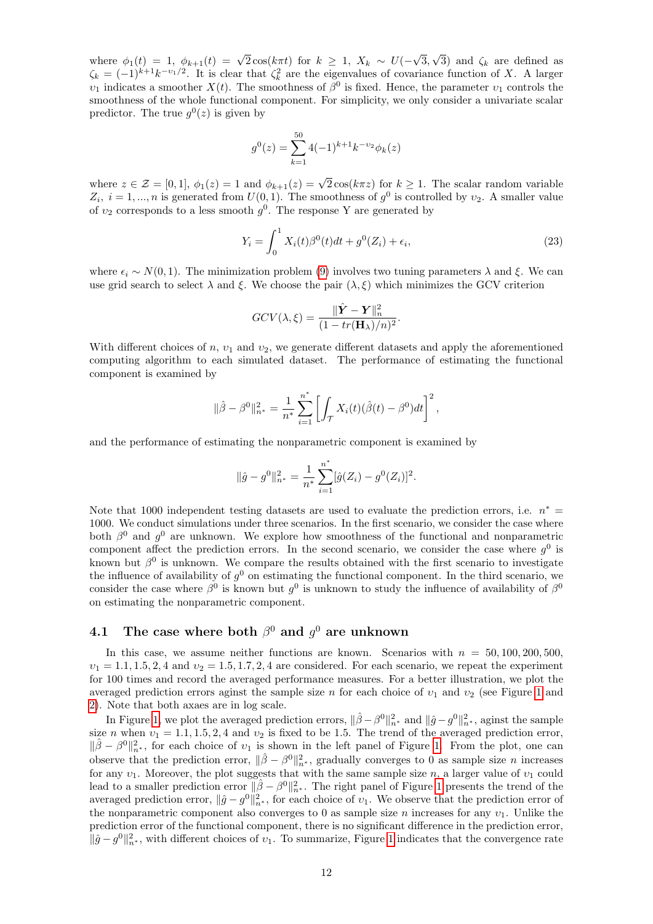where  $\phi_1(t) = 1$ ,  $\phi_{k+1}(t) = \sqrt{2} \cos(k \pi t)$  for  $k \geq 1$ ,  $X_k \sim U(-$ √ 3, √ 3) and  $\zeta_k$  are defined as  $\zeta_k = (-1)^{k+1} k^{-\nu_1/2}$ . It is clear that  $\zeta_k^2$  are the eigenvalues of covariance function of X. A larger  $v_1$  indicates a smoother  $X(t)$ . The smoothness of  $\beta^0$  is fixed. Hence, the parameter  $v_1$  controls the smoothness of the whole functional component. For simplicity, we only consider a univariate scalar predictor. The true  $g^0(z)$  is given by

$$
g^{0}(z) = \sum_{k=1}^{50} 4(-1)^{k+1} k^{-\upsilon_2} \phi_k(z)
$$

where  $z \in \mathcal{Z} = [0, 1], \phi_1(z) = 1$  and  $\phi_{k+1}(z) = \sqrt{2} \cos(k\pi z)$  for  $k \ge 1$ . The scalar random variable  $Z_i$ ,  $i = 1, ..., n$  is generated from  $U(0, 1)$ . The smoothness of  $g^0$  is controlled by  $v_2$ . A smaller value of  $v_2$  corresponds to a less smooth  $g^0$ . The response Y are generated by

<span id="page-11-0"></span>
$$
Y_i = \int_0^1 X_i(t)\beta^0(t)dt + g^0(Z_i) + \epsilon_i,
$$
\n(23)

where  $\epsilon_i$  ~ N(0, 1). The minimization problem [\(9\)](#page-7-0) involves two tuning parameters  $\lambda$  and  $\xi$ . We can use grid search to select  $\lambda$  and  $\xi$ . We choose the pair  $(\lambda, \xi)$  which minimizes the GCV criterion

$$
GCV(\lambda,\xi) = \frac{\Vert \hat{\boldsymbol{Y}} - \boldsymbol{Y} \Vert_n^2}{(1 - tr(\mathbf{H}_{\lambda})/n)^2}.
$$

With different choices of n,  $v_1$  and  $v_2$ , we generate different datasets and apply the aforementioned computing algorithm to each simulated dataset. The performance of estimating the functional component is examined by

$$
\|\hat{\beta} - \beta^0\|_{n^*}^2 = \frac{1}{n^*} \sum_{i=1}^{n^*} \left[ \int_{\mathcal{T}} X_i(t) (\hat{\beta}(t) - \beta^0) dt \right]^2,
$$

and the performance of estimating the nonparametric component is examined by

$$
\|\hat{g} - g^0\|_{n^*}^2 = \frac{1}{n^*} \sum_{i=1}^{n^*} [\hat{g}(Z_i) - g^0(Z_i)]^2.
$$

Note that 1000 independent testing datasets are used to evaluate the prediction errors, i.e.  $n^* =$ 1000. We conduct simulations under three scenarios. In the first scenario, we consider the case where both  $\beta^0$  and  $g^0$  are unknown. We explore how smoothness of the functional and nonparametric component affect the prediction errors. In the second scenario, we consider the case where  $g^0$  is known but  $\beta^0$  is unknown. We compare the results obtained with the first scenario to investigate the influence of availability of  $g^0$  on estimating the functional component. In the third scenario, we consider the case where  $\beta^0$  is known but  $g^0$  is unknown to study the influence of availability of  $\beta^0$ on estimating the nonparametric component.

### <span id="page-11-1"></span>4.1 The case where both  $\beta^0$  and  $g^0$  are unknown

In this case, we assume neither functions are known. Scenarios with  $n = 50, 100, 200, 500$ ,  $v_1 = 1.1, 1.5, 2, 4$  and  $v_2 = 1.5, 1.7, 2, 4$  are considered. For each scenario, we repeat the experiment for 100 times and record the averaged performance measures. For a better illustration, we plot the averaged prediction errors aginst the sample size n for each choice of  $v_1$  and  $v_2$  (see Figure [1](#page-12-0) and [2\)](#page-13-0). Note that both axaes are in log scale.

In Figure [1,](#page-12-0) we plot the averaged prediction errors,  $\|\hat{\beta} - \beta^0\|_{n^*}^2$  and  $\|\hat{g} - g^0\|_{n^*}^2$ , aginst the sample size n when  $v_1 = 1.1, 1.5, 2, 4$  and  $v_2$  is fixed to be 1.5. The trend of the averaged prediction error,  $\|\hat{\beta} - \beta^0\|_{n^*}^2$ , for each choice of  $v_1$  is shown in the left panel of Figure [1.](#page-12-0) From the plot, one can observe that the prediction error,  $\|\hat{\beta} - \beta^0\|_{n^*}^2$ , gradually converges to 0 as sample size *n* increases for any  $v_1$ . Moreover, the plot suggests that with the same sample size n, a larger value of  $v_1$  could lead to a smaller prediction error  $\|\hat{\beta} - \beta^0\|_{n^*}^2$ . The right panel of Figure [1](#page-12-0) presents the trend of the averaged prediction error,  $\|\hat{g} - g^0\|_{n^*}^2$ , for each choice of  $v_1$ . We observe that the prediction error of the nonparametric component also converges to 0 as sample size n increases for any  $v_1$ . Unlike the prediction error of the functional component, there is no significant difference in the prediction error,  $\|\hat{g}-g^0\|_{n^*}^2$ , with different choices of  $v_1$ . To summarize, Figure [1](#page-12-0) indicates that the convergence rate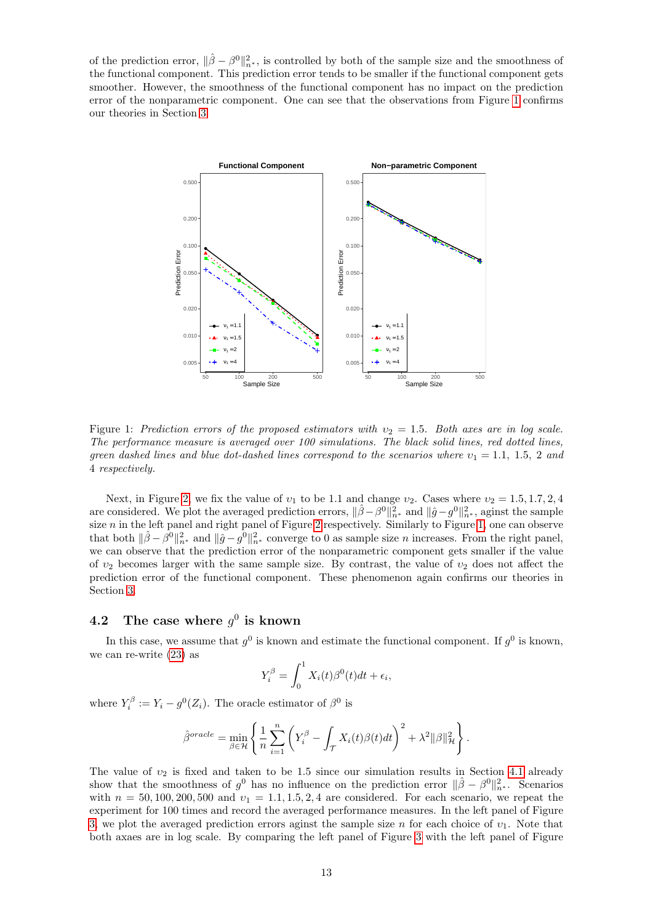<span id="page-12-0"></span>of the prediction error,  $\|\hat{\beta} - \beta^0\|_{n^*}^2$ , is controlled by both of the sample size and the smoothness of the functional component. This prediction error tends to be smaller if the functional component gets smoother. However, the smoothness of the functional component has no impact on the prediction error of the nonparametric component. One can see that the observations from Figure [1](#page-12-0) confirms our theories in Section [3.](#page-8-0)



Figure 1: Prediction errors of the proposed estimators with  $v_2 = 1.5$ . Both axes are in log scale. The performance measure is averaged over 100 simulations. The black solid lines, red dotted lines, green dashed lines and blue dot-dashed lines correspond to the scenarios where  $v_1 = 1.1, 1.5, 2$  and 4 respectively.

Next, in Figure [2,](#page-13-0) we fix the value of  $v_1$  to be 1.1 and change  $v_2$ . Cases where  $v_2 = 1.5, 1.7, 2, 4$ are considered. We plot the averaged prediction errors,  $\|\hat{\beta} - \beta^0\|_{n^*}^2$  and  $\|\hat{g} - g^0\|_{n^*}^2$ , aginst the sample size *n* in the left panel and right panel of Figure [2](#page-13-0) respectively. Similarly to Figure [1,](#page-12-0) one can observe that both  $\|\hat{\beta} - \hat{\beta}^0\|_{n^*}^2$  and  $\|\hat{g} - g^0\|_{n^*}^2$  converge to 0 as sample size *n* increases. From the right panel, we can observe that the prediction error of the nonparametric component gets smaller if the value of  $v_2$  becomes larger with the same sample size. By contrast, the value of  $v_2$  does not affect the prediction error of the functional component. These phenomenon again confirms our theories in Section [3.](#page-8-0)

### <span id="page-12-1"></span>4.2 The case where  $g^0$  is known

In this case, we assume that  $g^0$  is known and estimate the functional component. If  $g^0$  is known, we can re-write [\(23\)](#page-11-0) as

$$
Y_i^{\beta} = \int_0^1 X_i(t)\beta^0(t)dt + \epsilon_i,
$$

where  $Y_i^{\beta} := Y_i - g^0(Z_i)$ . The oracle estimator of  $\beta^0$  is

$$
\hat{\beta}^{oracle} = \min_{\beta \in \mathcal{H}} \left\{ \frac{1}{n} \sum_{i=1}^{n} \left( Y_i^{\beta} - \int_{\mathcal{T}} X_i(t) \beta(t) dt \right)^2 + \lambda^2 ||\beta||_{\mathcal{H}}^2 \right\}.
$$

The value of  $v_2$  is fixed and taken to be 1.5 since our simulation results in Section [4.1](#page-11-1) already show that the smoothness of  $g^0$  has no influence on the prediction error  $\|\hat{\beta} - \beta^0\|_{n^*}^2$ . Scenarios with  $n = 50, 100, 200, 500$  and  $v_1 = 1.1, 1.5, 2, 4$  are considered. For each scenario, we repeat the experiment for 100 times and record the averaged performance measures. In the left panel of Figure [3,](#page-14-1) we plot the averaged prediction errors aginst the sample size n for each choice of  $v_1$ . Note that both axaes are in log scale. By comparing the left panel of Figure [3](#page-14-1) with the left panel of Figure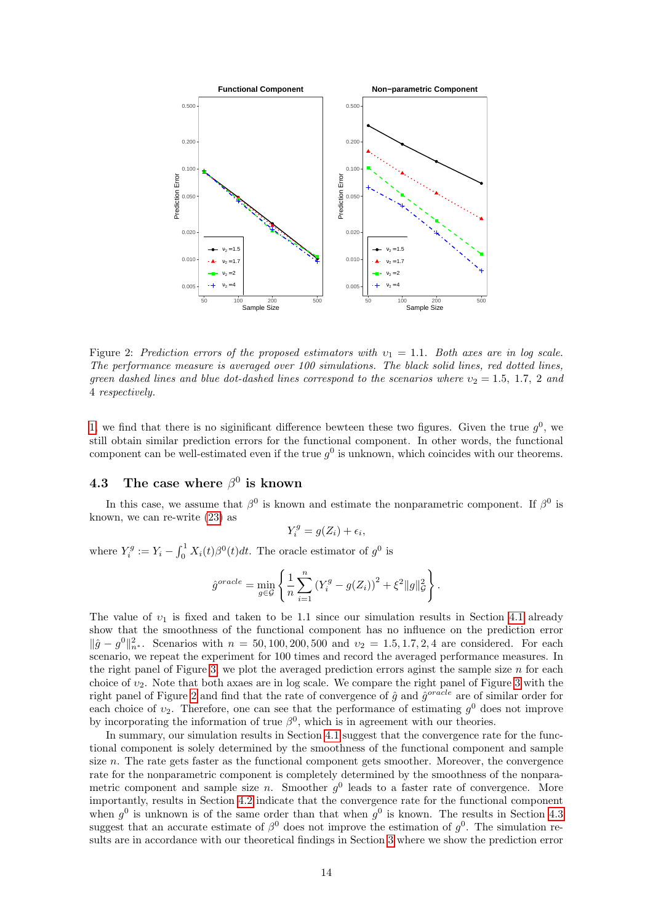<span id="page-13-0"></span>

Figure 2: Prediction errors of the proposed estimators with  $v_1 = 1.1$ . Both axes are in log scale. The performance measure is averaged over 100 simulations. The black solid lines, red dotted lines, green dashed lines and blue dot-dashed lines correspond to the scenarios where  $v_2 = 1.5, 1.7, 2$  and 4 respectively.

[1,](#page-12-0) we find that there is no siginificant difference bewteen these two figures. Given the true  $g^0$ , we still obtain similar prediction errors for the functional component. In other words, the functional component can be well-estimated even if the true  $g^0$  is unknown, which coincides with our theorems.

### <span id="page-13-1"></span>4.3 The case where  $\beta^0$  is known

In this case, we assume that  $\beta^0$  is known and estimate the nonparametric component. If  $\beta^0$  is known, we can re-write [\(23\)](#page-11-0) as

$$
Y_i^g = g(Z_i) + \epsilon_i,
$$

where  $Y_i^g := Y_i - \int_0^1 X_i(t) \beta^0(t) dt$ . The oracle estimator of  $g^0$  is

$$
\hat{g}^{oracle} = \min_{g \in \mathcal{G}} \left\{ \frac{1}{n} \sum_{i=1}^{n} (Y_i^g - g(Z_i))^2 + \xi^2 \|g\|_{\mathcal{G}}^2 \right\}.
$$

The value of  $v_1$  is fixed and taken to be 1.1 since our simulation results in Section [4.1](#page-11-1) already show that the smoothness of the functional component has no influence on the prediction error  $\|\hat{g} - g^0\|_{n^*}^2$ . Scenarios with  $n = 50, 100, 200, 500$  and  $v_2 = 1.5, 1.7, 2, 4$  are considered. For each scenario, we repeat the experiment for 100 times and record the averaged performance measures. In the right panel of Figure [3,](#page-14-1) we plot the averaged prediction errors aginst the sample size  $n$  for each choice of  $v_2$ . Note that both axaes are in log scale. We compare the right panel of Figure [3](#page-14-1) with the right panel of Figure [2](#page-13-0) and find that the rate of convergence of  $\hat{g}$  and  $\hat{g}^{oracle}$  are of similar order for each choice of  $v_2$ . Therefore, one can see that the performance of estimating  $g^0$  does not improve by incorporating the information of true  $\beta^0$ , which is in agreement with our theories.

In summary, our simulation results in Section [4.1](#page-11-1) suggest that the convergence rate for the functional component is solely determined by the smoothness of the functional component and sample size n. The rate gets faster as the functional component gets smoother. Moreover, the convergence rate for the nonparametric component is completely determined by the smoothness of the nonparametric component and sample size *n*. Smoother  $g^0$  leads to a faster rate of convergence. More importantly, results in Section [4.2](#page-12-1) indicate that the convergence rate for the functional component when  $g^0$  is unknown is of the same order than that when  $g^0$  is known. The results in Section [4.3](#page-13-1) suggest that an accurate estimate of  $\beta^0$  does not improve the estimation of  $g^0$ . The simulation results are in accordance with our theoretical findings in Section [3](#page-8-0) where we show the prediction error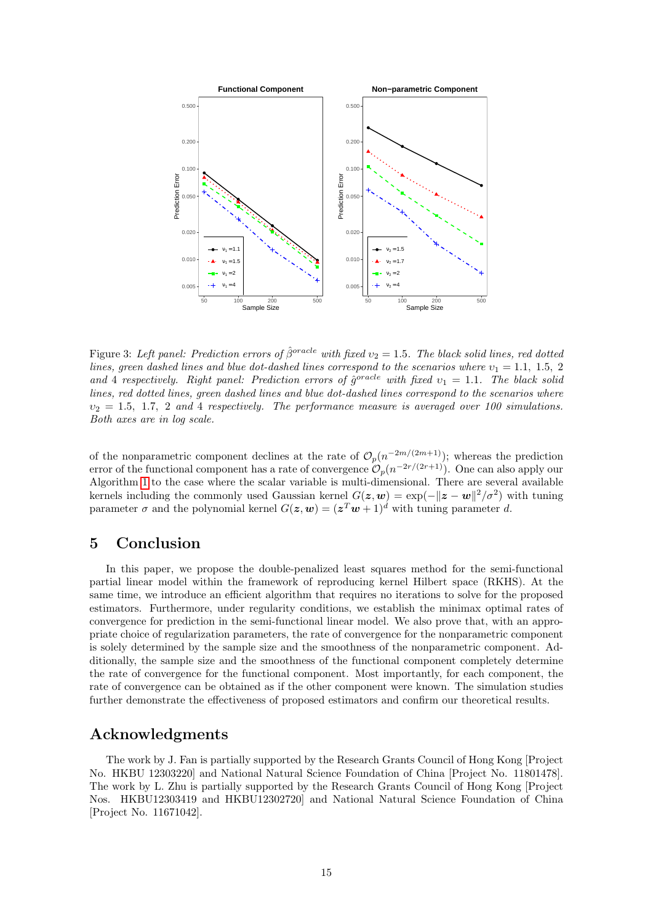<span id="page-14-1"></span>

Figure 3: Left panel: Prediction errors of  $\hat{\beta}^{oracle}$  with fixed  $v_2 = 1.5$ . The black solid lines, red dotted lines, green dashed lines and blue dot-dashed lines correspond to the scenarios where  $v_1 = 1.1, 1.5, 2$ and 4 respectively. Right panel: Prediction errors of  $\hat{g}^{\text{oracle}}$  with fixed  $v_1 = 1.1$ . The black solid lines, red dotted lines, green dashed lines and blue dot-dashed lines correspond to the scenarios where  $v_2 = 1.5, 1.7, 2$  and 4 respectively. The performance measure is averaged over 100 simulations. Both axes are in log scale.

of the nonparametric component declines at the rate of  $\mathcal{O}_p(n^{-2m/(2m+1)})$ ; whereas the prediction error of the functional component has a rate of convergence  $\mathcal{O}_p(n^{-2r/(2r+1)})$ . One can also apply our Algorithm [1](#page-7-4) to the case where the scalar variable is multi-dimensional. There are several available kernels including the commonly used Gaussian kernel  $G(z, w) = \exp(-\|z - w\|^2 / \sigma^2)$  with tuning parameter  $\sigma$  and the polynomial kernel  $G(z, w) = (z^T w + 1)^d$  with tuning parameter d.

## <span id="page-14-0"></span>5 Conclusion

In this paper, we propose the double-penalized least squares method for the semi-functional partial linear model within the framework of reproducing kernel Hilbert space (RKHS). At the same time, we introduce an efficient algorithm that requires no iterations to solve for the proposed estimators. Furthermore, under regularity conditions, we establish the minimax optimal rates of convergence for prediction in the semi-functional linear model. We also prove that, with an appropriate choice of regularization parameters, the rate of convergence for the nonparametric component is solely determined by the sample size and the smoothness of the nonparametric component. Additionally, the sample size and the smoothness of the functional component completely determine the rate of convergence for the functional component. Most importantly, for each component, the rate of convergence can be obtained as if the other component were known. The simulation studies further demonstrate the effectiveness of proposed estimators and confirm our theoretical results.

## Acknowledgments

The work by J. Fan is partially supported by the Research Grants Council of Hong Kong [Project No. HKBU 12303220] and National Natural Science Foundation of China [Project No. 11801478]. The work by L. Zhu is partially supported by the Research Grants Council of Hong Kong [Project Nos. HKBU12303419 and HKBU12302720] and National Natural Science Foundation of China [Project No. 11671042].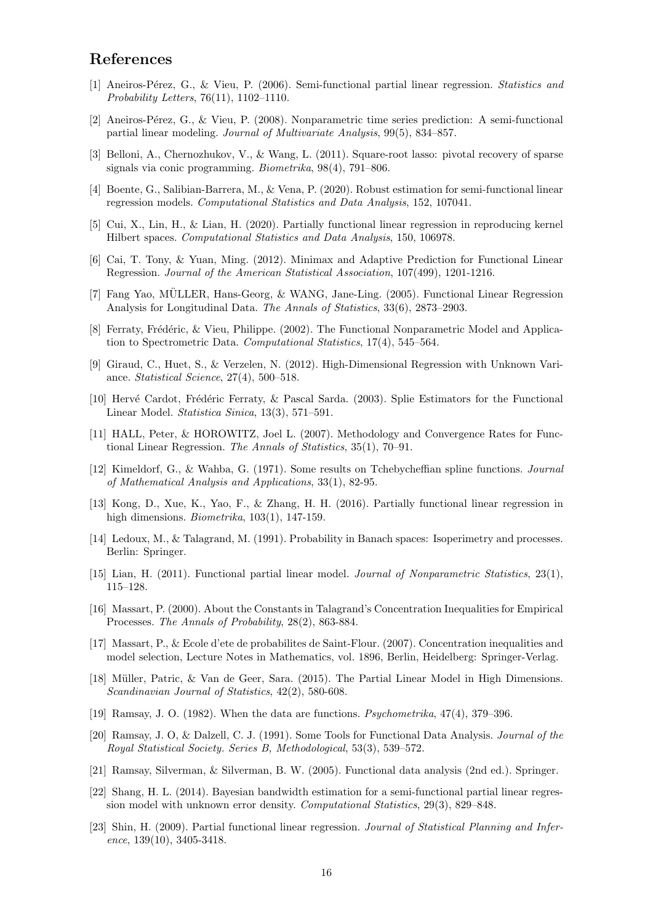### References

- <span id="page-15-8"></span>[1] Aneiros-P´erez, G., & Vieu, P. (2006). Semi-functional partial linear regression. Statistics and Probability Letters, 76(11), 1102–1110.
- <span id="page-15-9"></span>[2] Aneiros-P´erez, G., & Vieu, P. (2008). Nonparametric time series prediction: A semi-functional partial linear modeling. Journal of Multivariate Analysis, 99(5), 834–857.
- <span id="page-15-17"></span>[3] Belloni, A., Chernozhukov, V., & Wang, L. (2011). Square-root lasso: pivotal recovery of sparse signals via conic programming. Biometrika, 98(4), 791–806.
- <span id="page-15-15"></span>[4] Boente, G., Salibian-Barrera, M., & Vena, P. (2020). Robust estimation for semi-functional linear regression models. Computational Statistics and Data Analysis, 152, 107041.
- <span id="page-15-13"></span>[5] Cui, X., Lin, H., & Lian, H. (2020). Partially functional linear regression in reproducing kernel Hilbert spaces. Computational Statistics and Data Analysis, 150, 106978.
- <span id="page-15-6"></span>[6] Cai, T. Tony, & Yuan, Ming. (2012). Minimax and Adaptive Prediction for Functional Linear Regression. Journal of the American Statistical Association, 107(499), 1201-1216.
- <span id="page-15-4"></span>[7] Fang Yao, MULLER, Hans-Georg, & WANG, Jane-Ling. (2005). Functional Linear Regression ¨ Analysis for Longitudinal Data. The Annals of Statistics, 33(6), 2873–2903.
- <span id="page-15-2"></span>[8] Ferraty, Frédéric, & Vieu, Philippe. (2002). The Functional Nonparametric Model and Application to Spectrometric Data. Computational Statistics, 17(4), 545–564.
- <span id="page-15-18"></span>[9] Giraud, C., Huet, S., & Verzelen, N. (2012). High-Dimensional Regression with Unknown Variance. Statistical Science, 27(4), 500–518.
- <span id="page-15-3"></span>[10] Hervé Cardot, Frédéric Ferraty, & Pascal Sarda. (2003). Splie Estimators for the Functional Linear Model. Statistica Sinica, 13(3), 571–591.
- <span id="page-15-5"></span>[11] HALL, Peter, & HOROWITZ, Joel L. (2007). Methodology and Convergence Rates for Functional Linear Regression. The Annals of Statistics, 35(1), 70–91.
- [12] Kimeldorf, G., & Wahba, G. (1971). Some results on Tchebycheffian spline functions. Journal of Mathematical Analysis and Applications, 33(1), 82-95.
- <span id="page-15-12"></span>[13] Kong, D., Xue, K., Yao, F., & Zhang, H. H. (2016). Partially functional linear regression in high dimensions. *Biometrika*, 103(1), 147-159.
- [14] Ledoux, M., & Talagrand, M. (1991). Probability in Banach spaces: Isoperimetry and processes. Berlin: Springer.
- <span id="page-15-14"></span>[15] Lian, H. (2011). Functional partial linear model. Journal of Nonparametric Statistics, 23(1), 115–128.
- [16] Massart, P. (2000). About the Constants in Talagrand's Concentration Inequalities for Empirical Processes. The Annals of Probability, 28(2), 863-884.
- [17] Massart, P., & Ecole d'ete de probabilites de Saint-Flour. (2007). Concentration inequalities and model selection, Lecture Notes in Mathematics, vol. 1896, Berlin, Heidelberg: Springer-Verlag.
- <span id="page-15-16"></span>[18] Müller, Patric, & Van de Geer, Sara. (2015). The Partial Linear Model in High Dimensions. Scandinavian Journal of Statistics, 42(2), 580-608.
- <span id="page-15-0"></span>[19] Ramsay, J. O. (1982). When the data are functions. Psychometrika, 47(4), 379–396.
- <span id="page-15-1"></span>[20] Ramsay, J. O, & Dalzell, C. J. (1991). Some Tools for Functional Data Analysis. Journal of the Royal Statistical Society. Series B, Methodological, 53(3), 539–572.
- <span id="page-15-7"></span>[21] Ramsay, Silverman, & Silverman, B. W. (2005). Functional data analysis (2nd ed.). Springer.
- <span id="page-15-10"></span>[22] Shang, H. L. (2014). Bayesian bandwidth estimation for a semi-functional partial linear regression model with unknown error density. Computational Statistics, 29(3), 829–848.
- <span id="page-15-11"></span>[23] Shin, H. (2009). Partial functional linear regression. Journal of Statistical Planning and Inference, 139(10), 3405-3418.